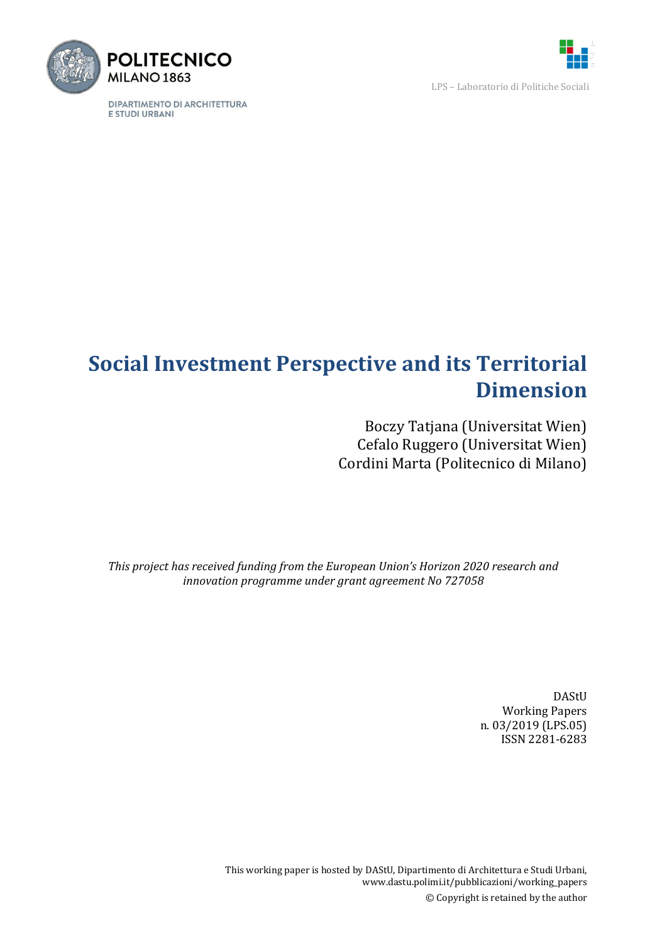

LPS – Laboratorio di Politiche Sociali



DIPARTIMENTO DI ARCHITETTURA E STUDI URBANI

# **Social Investment Perspective and its Territorial Dimension**

Boczy Tatjana (Universitat Wien) Cefalo Ruggero (Universitat Wien) Cordini Marta (Politecnico di Milano)

*This project has received funding from the European Union's Horizon 2020 research and innovation programme under grant agreement No 727058*

> DAStU Working Papers n. 03/2019 (LPS.05) ISSN 2281-6283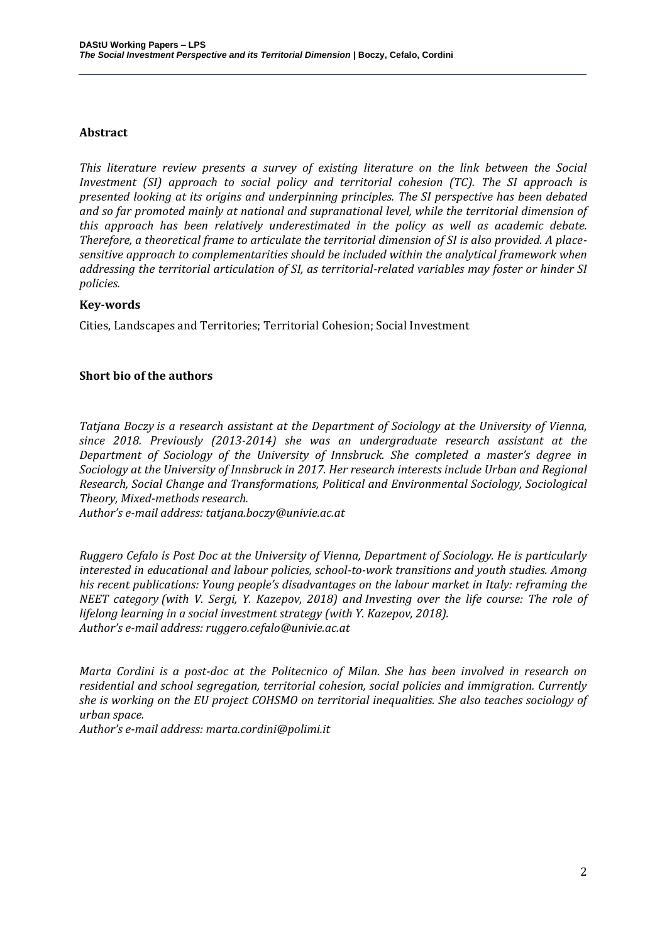#### **Abstract**

*This literature review presents a survey of existing literature on the link between the Social Investment (SI) approach to social policy and territorial cohesion (TC). The SI approach is presented looking at its origins and underpinning principles. The SI perspective has been debated and so far promoted mainly at national and supranational level, while the territorial dimension of this approach has been relatively underestimated in the policy as well as academic debate. Therefore, a theoretical frame to articulate the territorial dimension of SI is also provided. A placesensitive approach to complementarities should be included within the analytical framework when addressing the territorial articulation of SI, as territorial-related variables may foster or hinder SI policies.*

#### **Key-words**

Cities, Landscapes and Territories; Territorial Cohesion; Social Investment

#### **Short bio of the authors**

*Tatjana Boczy is a research assistant at the Department of Sociology at the University of Vienna, since 2018. Previously (2013-2014) she was an undergraduate research assistant at the Department of Sociology of the University of Innsbruck. She completed a master's degree in Sociology at the University of Innsbruck in 2017. Her research interests include Urban and Regional Research, Social Change and Transformations, Political and Environmental Sociology, Sociological Theory, Mixed-methods research.*

*Author's e-mail address: tatjana.boczy@univie.ac.at*

*Ruggero Cefalo is Post Doc at the University of Vienna, Department of Sociology. He is particularly interested in educational and labour policies, school-to-work transitions and youth studies. Among his recent publications: Young people's disadvantages on the labour market in Italy: reframing the NEET category (with V. Sergi, Y. Kazepov, 2018) and Investing over the life course: The role of lifelong learning in a social investment strategy (with Y. Kazepov, 2018). Author's e-mail address: ruggero.cefalo@univie.ac.at*

*Marta Cordini is a post-doc at the Politecnico of Milan. She has been involved in research on residential and school segregation, territorial cohesion, social policies and immigration. Currently she is working on the EU project COHSMO on territorial inequalities. She also teaches sociology of urban space.*

*Author's e-mail address: marta.cordini@polimi.it*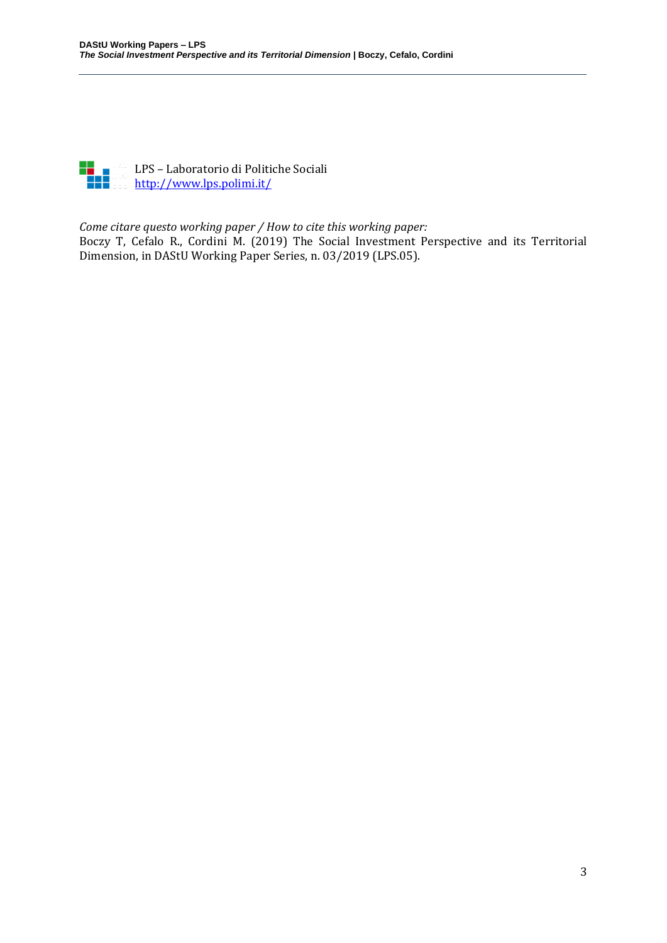

LPS – Laboratorio di Politiche Sociali <http://www.lps.polimi.it/>

#### *Come citare questo working paper / How to cite this working paper:*

Boczy T, Cefalo R., Cordini M. (2019) The Social Investment Perspective and its Territorial Dimension, in DAStU Working Paper Series, n. 03/2019 (LPS.05).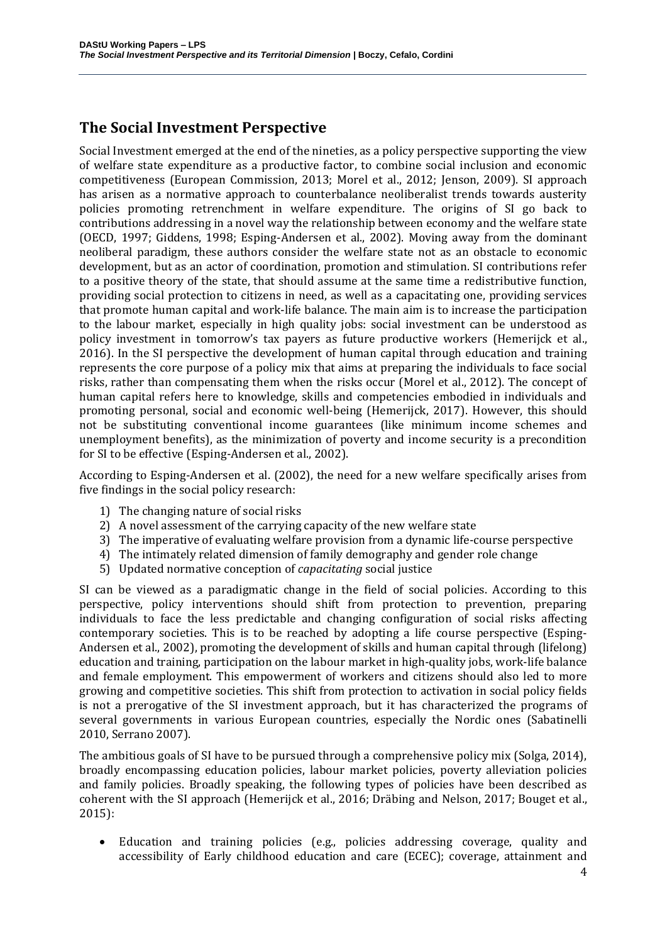# **The Social Investment Perspective**

Social Investment emerged at the end of the nineties, as a policy perspective supporting the view of welfare state expenditure as a productive factor, to combine social inclusion and economic competitiveness (European Commission, 2013; Morel et al., 2012; Jenson, 2009). SI approach has arisen as a normative approach to counterbalance neoliberalist trends towards austerity policies promoting retrenchment in welfare expenditure. The origins of SI go back to contributions addressing in a novel way the relationship between economy and the welfare state (OECD, 1997; Giddens, 1998; Esping-Andersen et al., 2002). Moving away from the dominant neoliberal paradigm, these authors consider the welfare state not as an obstacle to economic development, but as an actor of coordination, promotion and stimulation. SI contributions refer to a positive theory of the state, that should assume at the same time a redistributive function, providing social protection to citizens in need, as well as a capacitating one, providing services that promote human capital and work-life balance. The main aim is to increase the participation to the labour market, especially in high quality jobs: social investment can be understood as policy investment in tomorrow's tax payers as future productive workers (Hemerijck et al., 2016). In the SI perspective the development of human capital through education and training represents the core purpose of a policy mix that aims at preparing the individuals to face social risks, rather than compensating them when the risks occur (Morel et al., 2012). The concept of human capital refers here to knowledge, skills and competencies embodied in individuals and promoting personal, social and economic well-being (Hemerijck, 2017). However, this should not be substituting conventional income guarantees (like minimum income schemes and unemployment benefits), as the minimization of poverty and income security is a precondition for SI to be effective (Esping-Andersen et al., 2002).

According to Esping-Andersen et al. (2002), the need for a new welfare specifically arises from five findings in the social policy research:

- 1) The changing nature of social risks
- 2) A novel assessment of the carrying capacity of the new welfare state
- 3) The imperative of evaluating welfare provision from a dynamic life-course perspective
- 4) The intimately related dimension of family demography and gender role change
- 5) Updated normative conception of *capacitating* social justice

SI can be viewed as a paradigmatic change in the field of social policies. According to this perspective, policy interventions should shift from protection to prevention, preparing individuals to face the less predictable and changing configuration of social risks affecting contemporary societies. This is to be reached by adopting a life course perspective (Esping-Andersen et al., 2002), promoting the development of skills and human capital through (lifelong) education and training, participation on the labour market in high-quality jobs, work-life balance and female employment. This empowerment of workers and citizens should also led to more growing and competitive societies. This shift from protection to activation in social policy fields is not a prerogative of the SI investment approach, but it has characterized the programs of several governments in various European countries, especially the Nordic ones (Sabatinelli 2010, Serrano 2007).

The ambitious goals of SI have to be pursued through a comprehensive policy mix (Solga, 2014), broadly encompassing education policies, labour market policies, poverty alleviation policies and family policies. Broadly speaking, the following types of policies have been described as coherent with the SI approach (Hemerijck et al., 2016; Dräbing and Nelson, 2017; Bouget et al., 2015):

• Education and training policies (e.g., policies addressing coverage, quality and accessibility of Early childhood education and care (ECEC); coverage, attainment and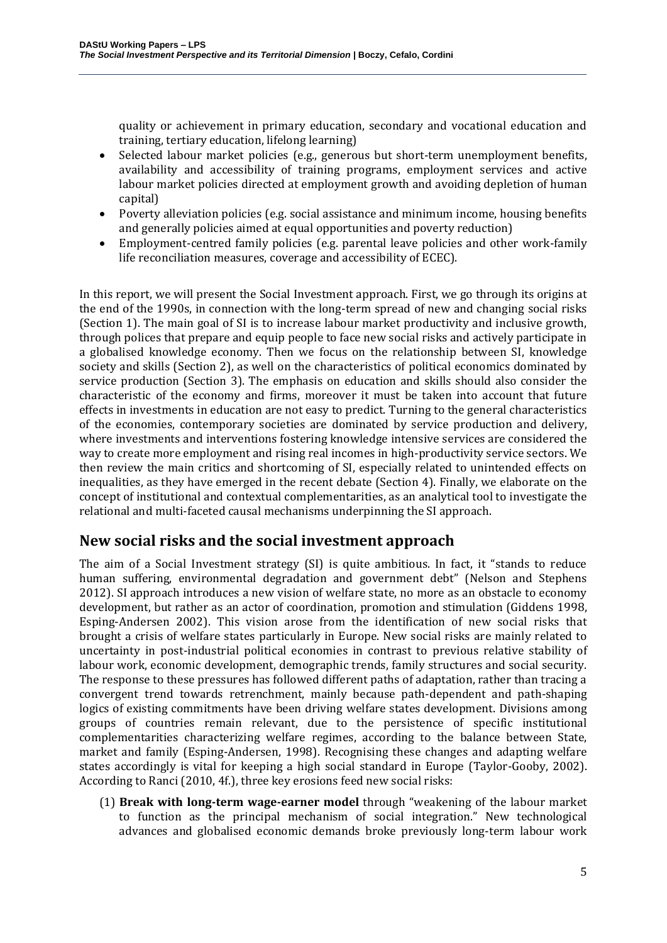quality or achievement in primary education, secondary and vocational education and training, tertiary education, lifelong learning)

- Selected labour market policies (e.g., generous but short-term unemployment benefits, availability and accessibility of training programs, employment services and active labour market policies directed at employment growth and avoiding depletion of human capital)
- Poverty alleviation policies (e.g. social assistance and minimum income, housing benefits and generally policies aimed at equal opportunities and poverty reduction)
- Employment-centred family policies (e.g. parental leave policies and other work-family life reconciliation measures, coverage and accessibility of ECEC).

In this report, we will present the Social Investment approach. First, we go through its origins at the end of the 1990s, in connection with the long-term spread of new and changing social risks (Section 1). The main goal of SI is to increase labour market productivity and inclusive growth, through polices that prepare and equip people to face new social risks and actively participate in a globalised knowledge economy. Then we focus on the relationship between SI, knowledge society and skills (Section 2), as well on the characteristics of political economics dominated by service production (Section 3). The emphasis on education and skills should also consider the characteristic of the economy and firms, moreover it must be taken into account that future effects in investments in education are not easy to predict. Turning to the general characteristics of the economies, contemporary societies are dominated by service production and delivery, where investments and interventions fostering knowledge intensive services are considered the way to create more employment and rising real incomes in high-productivity service sectors. We then review the main critics and shortcoming of SI, especially related to unintended effects on inequalities, as they have emerged in the recent debate (Section 4). Finally, we elaborate on the concept of institutional and contextual complementarities, as an analytical tool to investigate the relational and multi-faceted causal mechanisms underpinning the SI approach.

### **New social risks and the social investment approach**

The aim of a Social Investment strategy (SI) is quite ambitious. In fact, it "stands to reduce human suffering, environmental degradation and government debt" (Nelson and Stephens 2012). SI approach introduces a new vision of welfare state, no more as an obstacle to economy development, but rather as an actor of coordination, promotion and stimulation (Giddens 1998, Esping-Andersen 2002). This vision arose from the identification of new social risks that brought a crisis of welfare states particularly in Europe. New social risks are mainly related to uncertainty in post-industrial political economies in contrast to previous relative stability of labour work, economic development, demographic trends, family structures and social security. The response to these pressures has followed different paths of adaptation, rather than tracing a convergent trend towards retrenchment, mainly because path-dependent and path-shaping logics of existing commitments have been driving welfare states development. Divisions among groups of countries remain relevant, due to the persistence of specific institutional complementarities characterizing welfare regimes, according to the balance between State, market and family (Esping-Andersen, 1998). Recognising these changes and adapting welfare states accordingly is vital for keeping a high social standard in Europe (Taylor-Gooby, 2002). According to Ranci (2010, 4f.), three key erosions feed new social risks:

(1) **Break with long-term wage-earner model** through "weakening of the labour market to function as the principal mechanism of social integration." New technological advances and globalised economic demands broke previously long-term labour work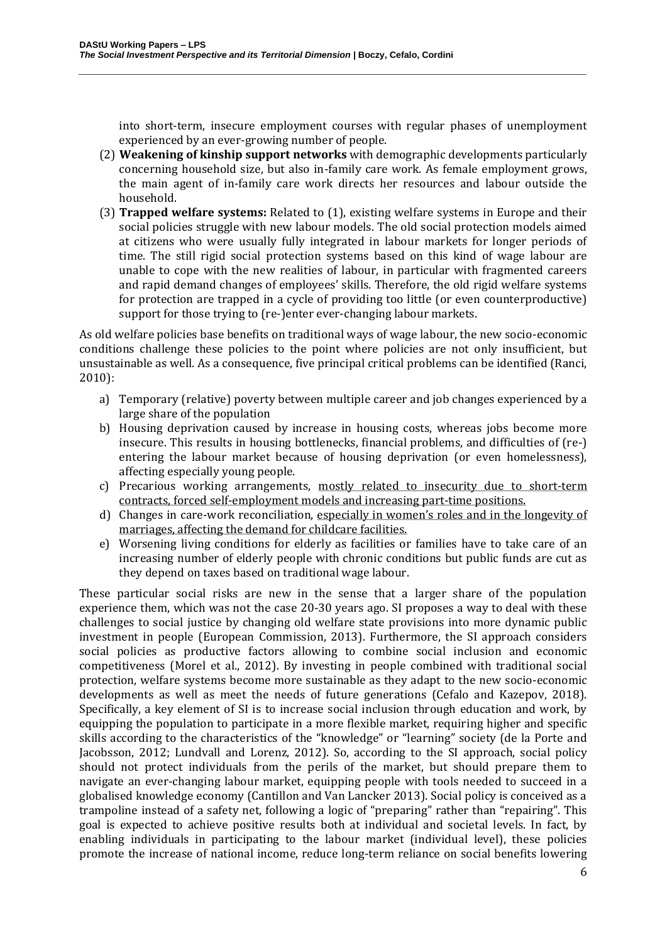into short-term, insecure employment courses with regular phases of unemployment experienced by an ever-growing number of people.

- (2) **Weakening of kinship support networks** with demographic developments particularly concerning household size, but also in-family care work. As female employment grows, the main agent of in-family care work directs her resources and labour outside the household.
- (3) **Trapped welfare systems:** Related to (1), existing welfare systems in Europe and their social policies struggle with new labour models. The old social protection models aimed at citizens who were usually fully integrated in labour markets for longer periods of time. The still rigid social protection systems based on this kind of wage labour are unable to cope with the new realities of labour, in particular with fragmented careers and rapid demand changes of employees' skills. Therefore, the old rigid welfare systems for protection are trapped in a cycle of providing too little (or even counterproductive) support for those trying to (re-)enter ever-changing labour markets.

As old welfare policies base benefits on traditional ways of wage labour, the new socio-economic conditions challenge these policies to the point where policies are not only insufficient, but unsustainable as well. As a consequence, five principal critical problems can be identified (Ranci, 2010):

- a) Temporary (relative) poverty between multiple career and job changes experienced by a large share of the population
- b) Housing deprivation caused by increase in housing costs, whereas jobs become more insecure. This results in housing bottlenecks, financial problems, and difficulties of (re-) entering the labour market because of housing deprivation (or even homelessness), affecting especially young people.
- c) Precarious working arrangements, mostly related to insecurity due to short-term contracts, forced self-employment models and increasing part-time positions.
- d) Changes in care-work reconciliation, especially in women's roles and in the longevity of marriages, affecting the demand for childcare facilities.
- e) Worsening living conditions for elderly as facilities or families have to take care of an increasing number of elderly people with chronic conditions but public funds are cut as they depend on taxes based on traditional wage labour.

These particular social risks are new in the sense that a larger share of the population experience them, which was not the case 20-30 years ago. SI proposes a way to deal with these challenges to social justice by changing old welfare state provisions into more dynamic public investment in people (European Commission, 2013). Furthermore, the SI approach considers social policies as productive factors allowing to combine social inclusion and economic competitiveness (Morel et al., 2012). By investing in people combined with traditional social protection, welfare systems become more sustainable as they adapt to the new socio-economic developments as well as meet the needs of future generations (Cefalo and Kazepov, 2018). Specifically, a key element of SI is to increase social inclusion through education and work, by equipping the population to participate in a more flexible market, requiring higher and specific skills according to the characteristics of the "knowledge" or "learning" society (de la Porte and Jacobsson, 2012; Lundvall and Lorenz, 2012). So, according to the SI approach, social policy should not protect individuals from the perils of the market, but should prepare them to navigate an ever-changing labour market, equipping people with tools needed to succeed in a globalised knowledge economy (Cantillon and Van Lancker 2013). Social policy is conceived as a trampoline instead of a safety net, following a logic of "preparing" rather than "repairing". This goal is expected to achieve positive results both at individual and societal levels. In fact, by enabling individuals in participating to the labour market (individual level), these policies promote the increase of national income, reduce long-term reliance on social benefits lowering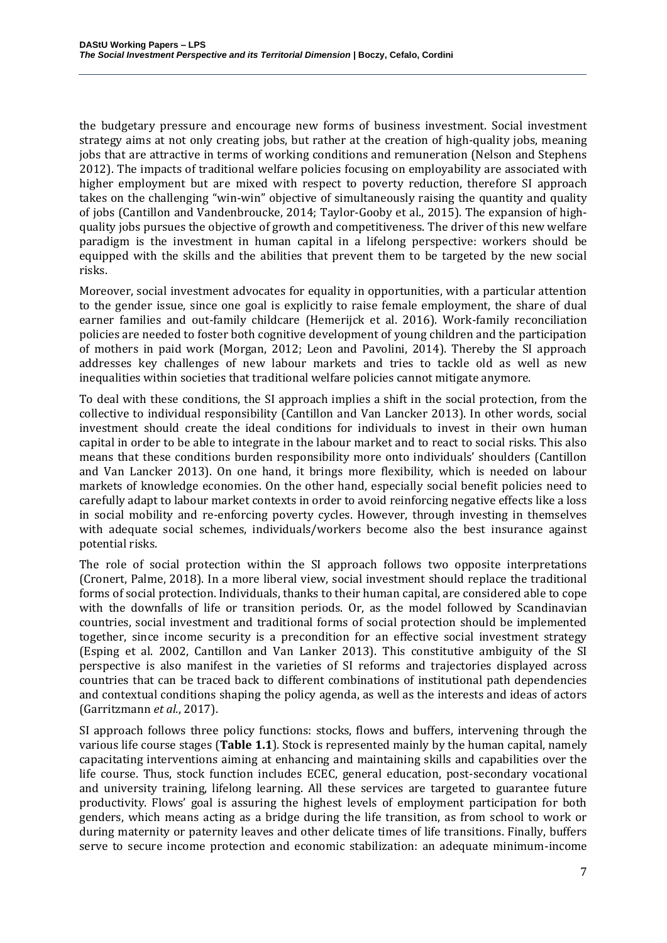the budgetary pressure and encourage new forms of business investment. Social investment strategy aims at not only creating jobs, but rather at the creation of high-quality jobs, meaning jobs that are attractive in terms of working conditions and remuneration (Nelson and Stephens 2012). The impacts of traditional welfare policies focusing on employability are associated with higher employment but are mixed with respect to poverty reduction, therefore SI approach takes on the challenging "win-win" objective of simultaneously raising the quantity and quality of jobs (Cantillon and Vandenbroucke, 2014; Taylor-Gooby et al., 2015). The expansion of highquality jobs pursues the objective of growth and competitiveness. The driver of this new welfare paradigm is the investment in human capital in a lifelong perspective: workers should be equipped with the skills and the abilities that prevent them to be targeted by the new social risks.

Moreover, social investment advocates for equality in opportunities, with a particular attention to the gender issue, since one goal is explicitly to raise female employment, the share of dual earner families and out-family childcare (Hemerijck et al. 2016). Work-family reconciliation policies are needed to foster both cognitive development of young children and the participation of mothers in paid work (Morgan, 2012; Leon and Pavolini, 2014). Thereby the SI approach addresses key challenges of new labour markets and tries to tackle old as well as new inequalities within societies that traditional welfare policies cannot mitigate anymore.

To deal with these conditions, the SI approach implies a shift in the social protection, from the collective to individual responsibility (Cantillon and Van Lancker 2013). In other words, social investment should create the ideal conditions for individuals to invest in their own human capital in order to be able to integrate in the labour market and to react to social risks. This also means that these conditions burden responsibility more onto individuals' shoulders (Cantillon and Van Lancker 2013). On one hand, it brings more flexibility, which is needed on labour markets of knowledge economies. On the other hand, especially social benefit policies need to carefully adapt to labour market contexts in order to avoid reinforcing negative effects like a loss in social mobility and re-enforcing poverty cycles. However, through investing in themselves with adequate social schemes, individuals/workers become also the best insurance against potential risks.

The role of social protection within the SI approach follows two opposite interpretations (Cronert, Palme, 2018). In a more liberal view, social investment should replace the traditional forms of social protection. Individuals, thanks to their human capital, are considered able to cope with the downfalls of life or transition periods. Or, as the model followed by Scandinavian countries, social investment and traditional forms of social protection should be implemented together, since income security is a precondition for an effective social investment strategy (Esping et al. 2002, Cantillon and Van Lanker 2013). This constitutive ambiguity of the SI perspective is also manifest in the varieties of SI reforms and trajectories displayed across countries that can be traced back to different combinations of institutional path dependencies and contextual conditions shaping the policy agenda, as well as the interests and ideas of actors (Garritzmann *et al.*, 2017).

SI approach follows three policy functions: stocks, flows and buffers, intervening through the various life course stages (**Table 1.1**). Stock is represented mainly by the human capital, namely capacitating interventions aiming at enhancing and maintaining skills and capabilities over the life course. Thus, stock function includes ECEC, general education, post-secondary vocational and university training, lifelong learning. All these services are targeted to guarantee future productivity. Flows' goal is assuring the highest levels of employment participation for both genders, which means acting as a bridge during the life transition, as from school to work or during maternity or paternity leaves and other delicate times of life transitions. Finally, buffers serve to secure income protection and economic stabilization: an adequate minimum-income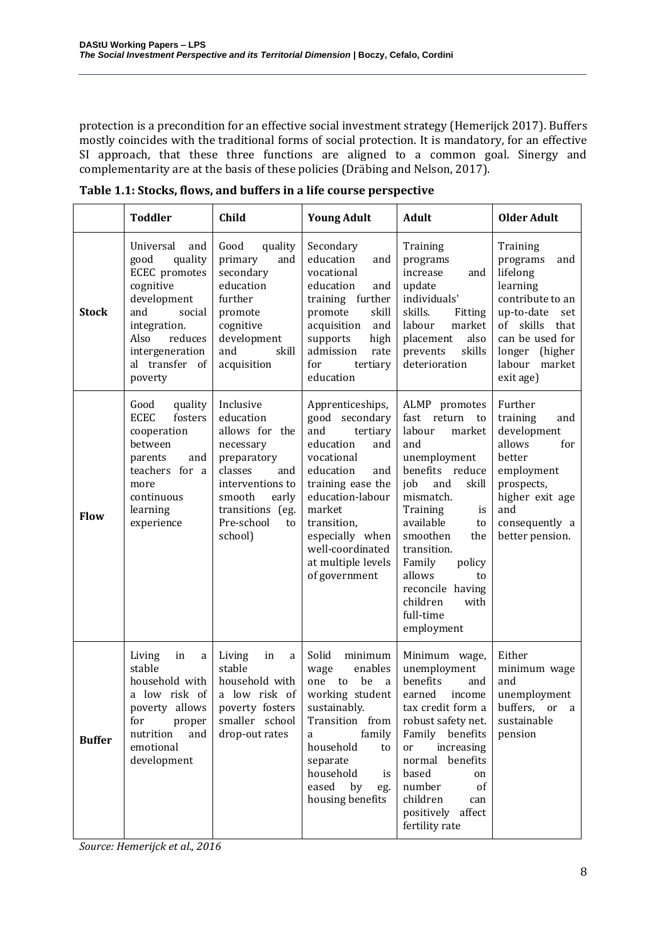protection is a precondition for an effective social investment strategy (Hemerijck 2017). Buffers mostly coincides with the traditional forms of social protection. It is mandatory, for an effective SI approach, that these three functions are aligned to a common goal. Sinergy and complementarity are at the basis of these policies (Dräbing and Nelson, 2017).

|               | <b>Toddler</b>                                                                                                                                                                       | Child                                                                                                                                                                            | <b>Young Adult</b>                                                                                                                                                                                                                                          | <b>Adult</b>                                                                                                                                                                                                                                                                                                       | <b>Older Adult</b>                                                                                                                                                                             |
|---------------|--------------------------------------------------------------------------------------------------------------------------------------------------------------------------------------|----------------------------------------------------------------------------------------------------------------------------------------------------------------------------------|-------------------------------------------------------------------------------------------------------------------------------------------------------------------------------------------------------------------------------------------------------------|--------------------------------------------------------------------------------------------------------------------------------------------------------------------------------------------------------------------------------------------------------------------------------------------------------------------|------------------------------------------------------------------------------------------------------------------------------------------------------------------------------------------------|
| <b>Stock</b>  | Universal<br>and<br>quality<br>good<br>ECEC promotes<br>cognitive<br>development<br>and<br>social<br>integration.<br>Also<br>reduces<br>intergeneration<br>al transfer of<br>poverty | Good<br>quality<br>primary<br>and<br>secondary<br>education<br>further<br>promote<br>cognitive<br>development<br>and<br>skill<br>acquisition                                     | Secondary<br>education<br>and<br>vocational<br>education<br>and<br>training further<br>skill<br>promote<br>acquisition<br>and<br>high<br>supports<br>admission<br>rate<br>for<br>tertiary<br>education                                                      | Training<br>programs<br>increase<br>and<br>update<br>individuals'<br>skills.<br>Fitting<br>labour<br>market<br>also<br>placement<br>skills<br>prevents<br>deterioration                                                                                                                                            | Training<br>programs<br>and<br>lifelong<br>learning<br>contribute to an<br>up-to-date<br>set<br>skills<br>of<br>that<br>can be used for<br>(higher)<br>longer<br>labour<br>market<br>exit age) |
| Flow          | Good<br>quality<br><b>ECEC</b><br>fosters<br>cooperation<br>between<br>parents<br>and<br>teachers for a<br>more<br>continuous<br>learning<br>experience                              | Inclusive<br>education<br>allows for the<br>necessary<br>preparatory<br>classes<br>and<br>interventions to<br>smooth<br>early<br>transitions (eg.<br>Pre-school<br>to<br>school) | Apprenticeships,<br>good secondary<br>and<br>tertiary<br>education<br>and<br>vocational<br>education<br>and<br>training ease the<br>education-labour<br>market<br>transition,<br>especially when<br>well-coordinated<br>at multiple levels<br>of government | ALMP promotes<br>fast return<br>to<br>labour<br>market<br>and<br>unemployment<br>benefits reduce<br>job<br>and<br>skill<br>mismatch.<br>Training<br>is<br>available<br>to<br>smoothen<br>the<br>transition.<br>Family<br>policy<br>allows<br>to<br>reconcile having<br>children<br>with<br>full-time<br>employment | Further<br>training<br>and<br>development<br>allows<br>for<br>better<br>employment<br>prospects,<br>higher exit age<br>and<br>consequently a<br>better pension.                                |
| <b>Buffer</b> | Living<br>in<br>a<br>stable<br>household with<br>a low risk of<br>poverty allows<br>for<br>proper<br>nutrition<br>and<br>emotional<br>development                                    | Living<br>in<br>a<br>stable<br>household with<br>a low risk of<br>poverty fosters<br>smaller school<br>drop-out rates                                                            | Solid<br>minimum<br>enables<br>wage<br>be<br>one to<br>a<br>working student<br>sustainably.<br>Transition from<br>family<br>a<br>household<br>to<br>separate<br>household<br>is<br>eased<br>by<br>eg.<br>housing benefits                                   | Minimum wage,<br>unemployment<br>benefits<br>and<br>earned<br>income<br>tax credit form $a$<br>robust safety net.<br>Family benefits<br>increasing<br>or<br>normal benefits<br>based<br>on<br>number<br>of<br>children<br>can<br>positively affect<br>fertility rate                                               | Either<br>minimum wage<br>and<br>unemployment<br>buffers, or a<br>sustainable<br>pension                                                                                                       |

**Table 1.1: Stocks, flows, and buffers in a life course perspective**

*Source: Hemerijck et al., 2016*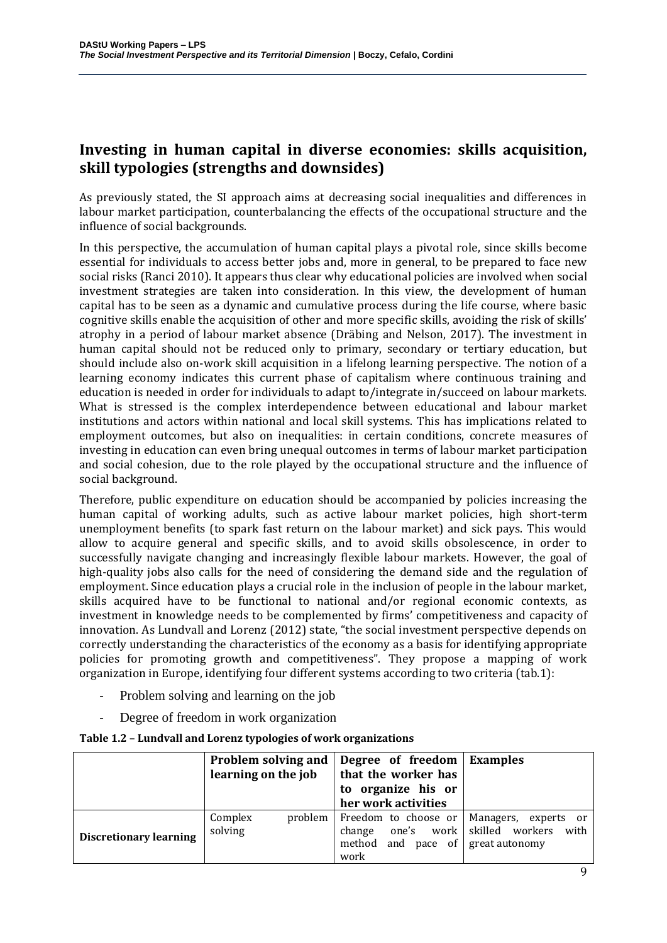# **Investing in human capital in diverse economies: skills acquisition, skill typologies (strengths and downsides)**

As previously stated, the SI approach aims at decreasing social inequalities and differences in labour market participation, counterbalancing the effects of the occupational structure and the influence of social backgrounds.

In this perspective, the accumulation of human capital plays a pivotal role, since skills become essential for individuals to access better jobs and, more in general, to be prepared to face new social risks (Ranci 2010). It appears thus clear why educational policies are involved when social investment strategies are taken into consideration. In this view, the development of human capital has to be seen as a dynamic and cumulative process during the life course, where basic cognitive skills enable the acquisition of other and more specific skills, avoiding the risk of skills' atrophy in a period of labour market absence (Dräbing and Nelson, 2017). The investment in human capital should not be reduced only to primary, secondary or tertiary education, but should include also on-work skill acquisition in a lifelong learning perspective. The notion of a learning economy indicates this current phase of capitalism where continuous training and education is needed in order for individuals to adapt to/integrate in/succeed on labour markets. What is stressed is the complex interdependence between educational and labour market institutions and actors within national and local skill systems. This has implications related to employment outcomes, but also on inequalities: in certain conditions, concrete measures of investing in education can even bring unequal outcomes in terms of labour market participation and social cohesion, due to the role played by the occupational structure and the influence of social background.

Therefore, public expenditure on education should be accompanied by policies increasing the human capital of working adults, such as active labour market policies, high short-term unemployment benefits (to spark fast return on the labour market) and sick pays. This would allow to acquire general and specific skills, and to avoid skills obsolescence, in order to successfully navigate changing and increasingly flexible labour markets. However, the goal of high-quality jobs also calls for the need of considering the demand side and the regulation of employment. Since education plays a crucial role in the inclusion of people in the labour market, skills acquired have to be functional to national and/or regional economic contexts, as investment in knowledge needs to be complemented by firms' competitiveness and capacity of innovation. As Lundvall and Lorenz (2012) state, "the social investment perspective depends on correctly understanding the characteristics of the economy as a basis for identifying appropriate policies for promoting growth and competitiveness". They propose a mapping of work organization in Europe, identifying four different systems according to two criteria (tab.1):

- Problem solving and learning on the job
- Degree of freedom in work organization

|                               | learning on the job             | Problem solving and   Degree of freedom   Examples<br>that the worker has<br>to organize his or<br>her work activities |                              |
|-------------------------------|---------------------------------|------------------------------------------------------------------------------------------------------------------------|------------------------------|
| <b>Discretionary learning</b> | Complex<br>problem  <br>solving | Freedom to choose or<br>change one's work skilled workers<br>method and pace of great autonomy<br>work                 | Managers, experts or<br>with |

#### **Table 1.2 – Lundvall and Lorenz typologies of work organizations**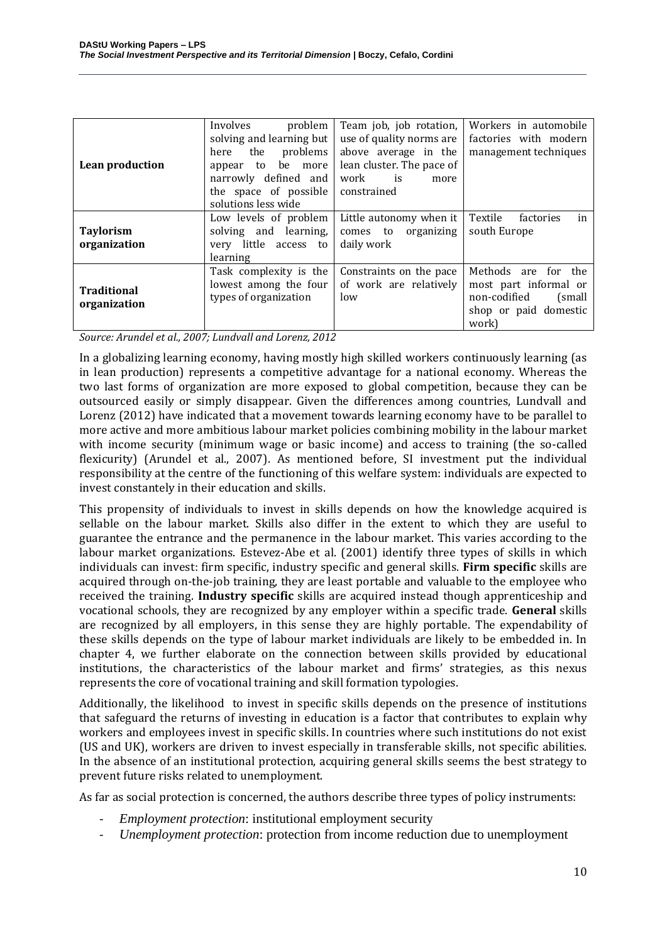| Lean production                    | problem<br>Involves<br>solving and learning but<br>problems<br>the<br>here<br>be more<br>to<br>appear<br>narrowly defined and<br>the space of possible<br>solutions less wide | Team job, job rotation,<br>use of quality norms are<br>above average in the<br>lean cluster. The pace of<br>work<br>is<br>more<br>constrained | Workers in automobile<br>factories with modern<br>management techniques                                   |
|------------------------------------|-------------------------------------------------------------------------------------------------------------------------------------------------------------------------------|-----------------------------------------------------------------------------------------------------------------------------------------------|-----------------------------------------------------------------------------------------------------------|
| <b>Taylorism</b><br>organization   | Low levels of problem<br>solving and learning,<br>very little access to<br>learning                                                                                           | Little autonomy when it<br>comes to organizing<br>daily work                                                                                  | in<br>Textile<br>factories<br>south Europe                                                                |
| <b>Traditional</b><br>organization | Task complexity is the<br>lowest among the four<br>types of organization                                                                                                      | Constraints on the pace<br>of work are relatively<br>low                                                                                      | Methods are for the<br>most part informal or<br>non-codified<br>(small)<br>shop or paid domestic<br>work) |

*Source: Arundel et al., 2007; Lundvall and Lorenz, 2012*

In a globalizing learning economy, having mostly high skilled workers continuously learning (as in lean production) represents a competitive advantage for a national economy. Whereas the two last forms of organization are more exposed to global competition, because they can be outsourced easily or simply disappear. Given the differences among countries, Lundvall and Lorenz (2012) have indicated that a movement towards learning economy have to be parallel to more active and more ambitious labour market policies combining mobility in the labour market with income security (minimum wage or basic income) and access to training (the so-called flexicurity) (Arundel et al., 2007). As mentioned before, SI investment put the individual responsibility at the centre of the functioning of this welfare system: individuals are expected to invest constantely in their education and skills.

This propensity of individuals to invest in skills depends on how the knowledge acquired is sellable on the labour market. Skills also differ in the extent to which they are useful to guarantee the entrance and the permanence in the labour market. This varies according to the labour market organizations. Estevez-Abe et al. (2001) identify three types of skills in which individuals can invest: firm specific, industry specific and general skills. **Firm specific** skills are acquired through on-the-job training, they are least portable and valuable to the employee who received the training. **Industry specific** skills are acquired instead though apprenticeship and vocational schools, they are recognized by any employer within a specific trade. **General** skills are recognized by all employers, in this sense they are highly portable. The expendability of these skills depends on the type of labour market individuals are likely to be embedded in. In chapter 4, we further elaborate on the connection between skills provided by educational institutions, the characteristics of the labour market and firms' strategies, as this nexus represents the core of vocational training and skill formation typologies.

Additionally, the likelihood to invest in specific skills depends on the presence of institutions that safeguard the returns of investing in education is a factor that contributes to explain why workers and employees invest in specific skills. In countries where such institutions do not exist (US and UK), workers are driven to invest especially in transferable skills, not specific abilities. In the absence of an institutional protection, acquiring general skills seems the best strategy to prevent future risks related to unemployment.

As far as social protection is concerned, the authors describe three types of policy instruments:

- *Employment protection*: institutional employment security
- *Unemployment protection*: protection from income reduction due to unemployment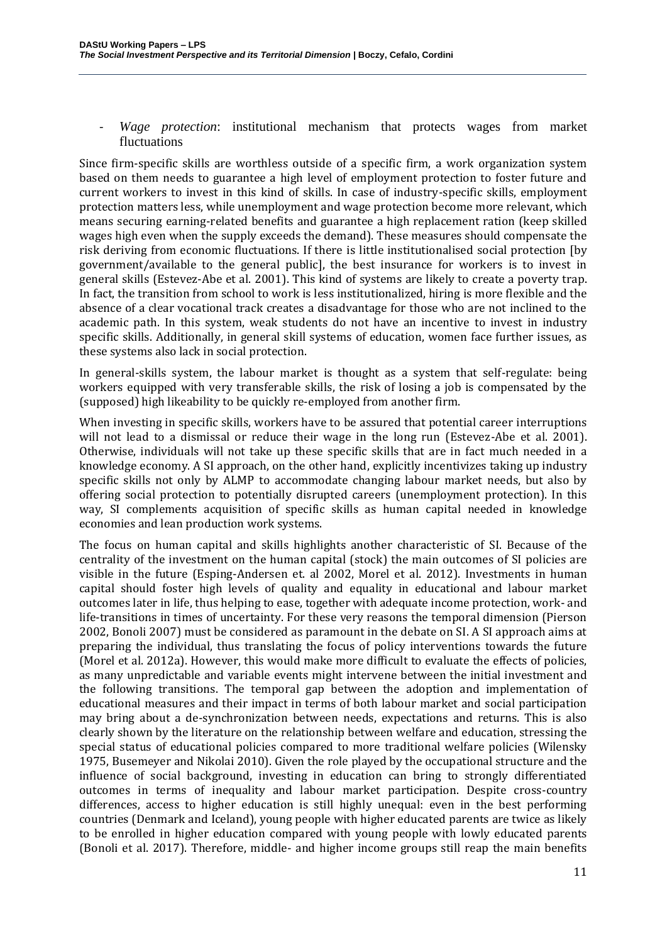- *Wage protection*: institutional mechanism that protects wages from market fluctuations

Since firm-specific skills are worthless outside of a specific firm, a work organization system based on them needs to guarantee a high level of employment protection to foster future and current workers to invest in this kind of skills. In case of industry-specific skills, employment protection matters less, while unemployment and wage protection become more relevant, which means securing earning-related benefits and guarantee a high replacement ration (keep skilled wages high even when the supply exceeds the demand). These measures should compensate the risk deriving from economic fluctuations. If there is little institutionalised social protection [by government/available to the general public], the best insurance for workers is to invest in general skills (Estevez-Abe et al. 2001). This kind of systems are likely to create a poverty trap. In fact, the transition from school to work is less institutionalized, hiring is more flexible and the absence of a clear vocational track creates a disadvantage for those who are not inclined to the academic path. In this system, weak students do not have an incentive to invest in industry specific skills. Additionally, in general skill systems of education, women face further issues, as these systems also lack in social protection.

In general-skills system, the labour market is thought as a system that self-regulate: being workers equipped with very transferable skills, the risk of losing a job is compensated by the (supposed) high likeability to be quickly re-employed from another firm.

When investing in specific skills, workers have to be assured that potential career interruptions will not lead to a dismissal or reduce their wage in the long run (Estevez-Abe et al. 2001). Otherwise, individuals will not take up these specific skills that are in fact much needed in a knowledge economy. A SI approach, on the other hand, explicitly incentivizes taking up industry specific skills not only by ALMP to accommodate changing labour market needs, but also by offering social protection to potentially disrupted careers (unemployment protection). In this way, SI complements acquisition of specific skills as human capital needed in knowledge economies and lean production work systems.

The focus on human capital and skills highlights another characteristic of SI. Because of the centrality of the investment on the human capital (stock) the main outcomes of SI policies are visible in the future (Esping-Andersen et. al 2002, Morel et al. 2012). Investments in human capital should foster high levels of quality and equality in educational and labour market outcomes later in life, thus helping to ease, together with adequate income protection, work- and life-transitions in times of uncertainty. For these very reasons the temporal dimension (Pierson 2002, Bonoli 2007) must be considered as paramount in the debate on SI. A SI approach aims at preparing the individual, thus translating the focus of policy interventions towards the future (Morel et al. 2012a). However, this would make more difficult to evaluate the effects of policies, as many unpredictable and variable events might intervene between the initial investment and the following transitions. The temporal gap between the adoption and implementation of educational measures and their impact in terms of both labour market and social participation may bring about a de-synchronization between needs, expectations and returns. This is also clearly shown by the literature on the relationship between welfare and education, stressing the special status of educational policies compared to more traditional welfare policies (Wilensky 1975, Busemeyer and Nikolai 2010). Given the role played by the occupational structure and the influence of social background, investing in education can bring to strongly differentiated outcomes in terms of inequality and labour market participation. Despite cross-country differences, access to higher education is still highly unequal: even in the best performing countries (Denmark and Iceland), young people with higher educated parents are twice as likely to be enrolled in higher education compared with young people with lowly educated parents (Bonoli et al. 2017). Therefore, middle- and higher income groups still reap the main benefits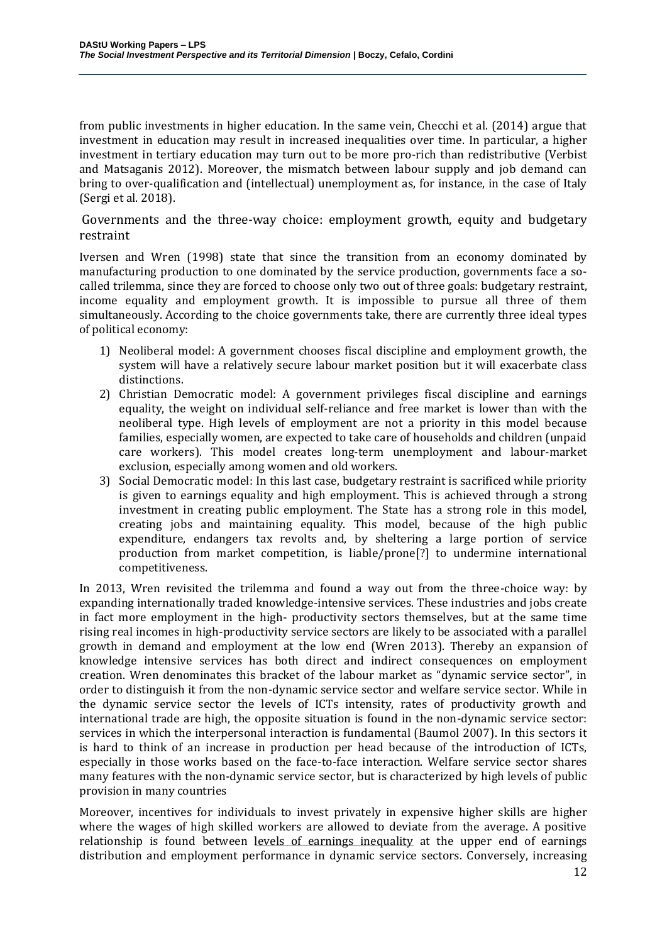from public investments in higher education. In the same vein, Checchi et al. (2014) argue that investment in education may result in increased inequalities over time. In particular, a higher investment in tertiary education may turn out to be more pro-rich than redistributive (Verbist and Matsaganis 2012). Moreover, the mismatch between labour supply and job demand can bring to over-qualification and (intellectual) unemployment as, for instance, in the case of Italy (Sergi et al. 2018).

Governments and the three-way choice: employment growth, equity and budgetary restraint

Iversen and Wren (1998) state that since the transition from an economy dominated by manufacturing production to one dominated by the service production, governments face a socalled trilemma, since they are forced to choose only two out of three goals: budgetary restraint, income equality and employment growth. It is impossible to pursue all three of them simultaneously. According to the choice governments take, there are currently three ideal types of political economy:

- 1) Neoliberal model: A government chooses fiscal discipline and employment growth, the system will have a relatively secure labour market position but it will exacerbate class distinctions.
- 2) Christian Democratic model: A government privileges fiscal discipline and earnings equality, the weight on individual self-reliance and free market is lower than with the neoliberal type. High levels of employment are not a priority in this model because families, especially women, are expected to take care of households and children (unpaid care workers). This model creates long-term unemployment and labour-market exclusion, especially among women and old workers.
- 3) Social Democratic model: In this last case, budgetary restraint is sacrificed while priority is given to earnings equality and high employment. This is achieved through a strong investment in creating public employment. The State has a strong role in this model, creating jobs and maintaining equality. This model, because of the high public expenditure, endangers tax revolts and, by sheltering a large portion of service production from market competition, is liable/prone[?] to undermine international competitiveness.

In 2013, Wren revisited the trilemma and found a way out from the three-choice way: by expanding internationally traded knowledge-intensive services. These industries and jobs create in fact more employment in the high- productivity sectors themselves, but at the same time rising real incomes in high-productivity service sectors are likely to be associated with a parallel growth in demand and employment at the low end (Wren 2013). Thereby an expansion of knowledge intensive services has both direct and indirect consequences on employment creation. Wren denominates this bracket of the labour market as "dynamic service sector", in order to distinguish it from the non-dynamic service sector and welfare service sector. While in the dynamic service sector the levels of ICTs intensity, rates of productivity growth and international trade are high, the opposite situation is found in the non-dynamic service sector: services in which the interpersonal interaction is fundamental (Baumol 2007). In this sectors it is hard to think of an increase in production per head because of the introduction of ICTs, especially in those works based on the face-to-face interaction. Welfare service sector shares many features with the non-dynamic service sector, but is characterized by high levels of public provision in many countries

Moreover, incentives for individuals to invest privately in expensive higher skills are higher where the wages of high skilled workers are allowed to deviate from the average. A positive relationship is found between levels of earnings inequality at the upper end of earnings distribution and employment performance in dynamic service sectors. Conversely, increasing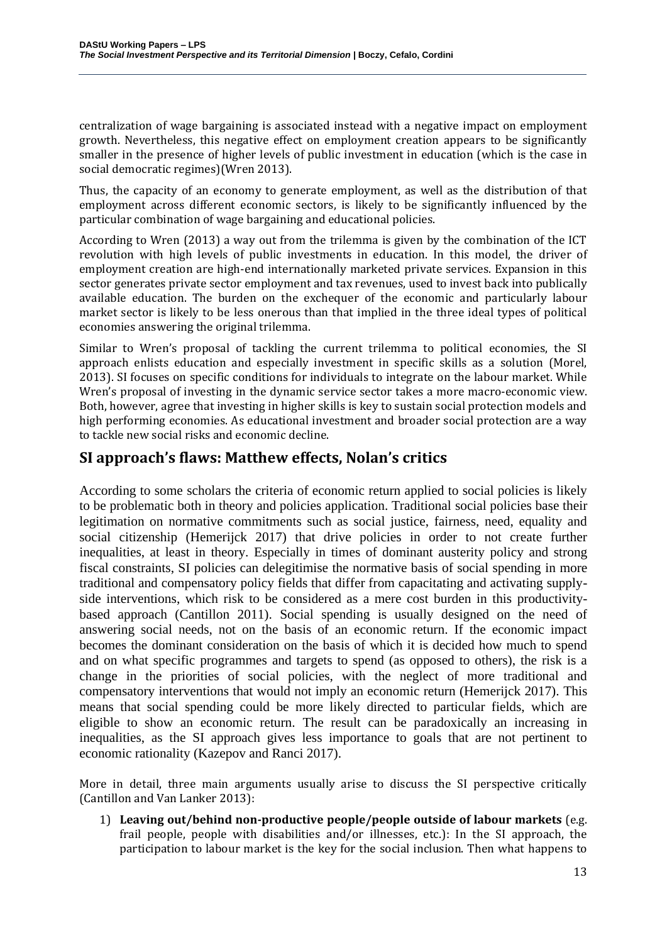centralization of wage bargaining is associated instead with a negative impact on employment growth. Nevertheless, this negative effect on employment creation appears to be significantly smaller in the presence of higher levels of public investment in education (which is the case in social democratic regimes)(Wren 2013).

Thus, the capacity of an economy to generate employment, as well as the distribution of that employment across different economic sectors, is likely to be significantly influenced by the particular combination of wage bargaining and educational policies.

According to Wren (2013) a way out from the trilemma is given by the combination of the ICT revolution with high levels of public investments in education. In this model, the driver of employment creation are high-end internationally marketed private services. Expansion in this sector generates private sector employment and tax revenues, used to invest back into publically available education. The burden on the exchequer of the economic and particularly labour market sector is likely to be less onerous than that implied in the three ideal types of political economies answering the original trilemma.

Similar to Wren's proposal of tackling the current trilemma to political economies, the SI approach enlists education and especially investment in specific skills as a solution (Morel, 2013). SI focuses on specific conditions for individuals to integrate on the labour market. While Wren's proposal of investing in the dynamic service sector takes a more macro-economic view. Both, however, agree that investing in higher skills is key to sustain social protection models and high performing economies. As educational investment and broader social protection are a way to tackle new social risks and economic decline.

### **SI approach's flaws: Matthew effects, Nolan's critics**

According to some scholars the criteria of economic return applied to social policies is likely to be problematic both in theory and policies application. Traditional social policies base their legitimation on normative commitments such as social justice, fairness, need, equality and social citizenship (Hemerijck 2017) that drive policies in order to not create further inequalities, at least in theory. Especially in times of dominant austerity policy and strong fiscal constraints, SI policies can delegitimise the normative basis of social spending in more traditional and compensatory policy fields that differ from capacitating and activating supplyside interventions, which risk to be considered as a mere cost burden in this productivitybased approach (Cantillon 2011). Social spending is usually designed on the need of answering social needs, not on the basis of an economic return. If the economic impact becomes the dominant consideration on the basis of which it is decided how much to spend and on what specific programmes and targets to spend (as opposed to others), the risk is a change in the priorities of social policies, with the neglect of more traditional and compensatory interventions that would not imply an economic return (Hemerijck 2017). This means that social spending could be more likely directed to particular fields, which are eligible to show an economic return. The result can be paradoxically an increasing in inequalities, as the SI approach gives less importance to goals that are not pertinent to economic rationality (Kazepov and Ranci 2017).

More in detail, three main arguments usually arise to discuss the SI perspective critically (Cantillon and Van Lanker 2013):

1) **Leaving out/behind non-productive people/people outside of labour markets** (e.g. frail people, people with disabilities and/or illnesses, etc.): In the SI approach, the participation to labour market is the key for the social inclusion. Then what happens to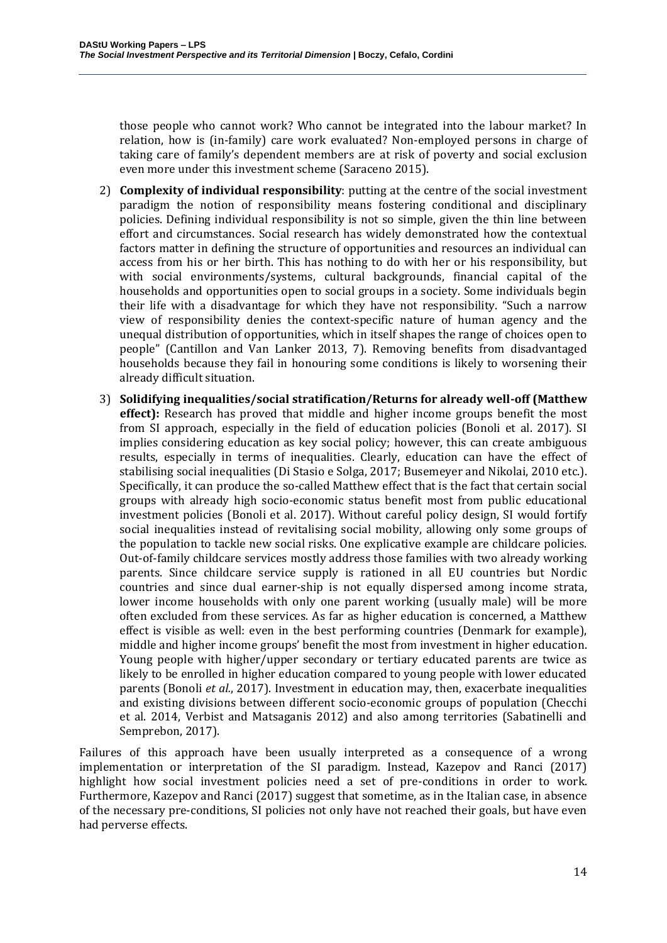those people who cannot work? Who cannot be integrated into the labour market? In relation, how is (in-family) care work evaluated? Non-employed persons in charge of taking care of family's dependent members are at risk of poverty and social exclusion even more under this investment scheme (Saraceno 2015).

- 2) **Complexity of individual responsibility**: putting at the centre of the social investment paradigm the notion of responsibility means fostering conditional and disciplinary policies. Defining individual responsibility is not so simple, given the thin line between effort and circumstances. Social research has widely demonstrated how the contextual factors matter in defining the structure of opportunities and resources an individual can access from his or her birth. This has nothing to do with her or his responsibility, but with social environments/systems, cultural backgrounds, financial capital of the households and opportunities open to social groups in a society. Some individuals begin their life with a disadvantage for which they have not responsibility. "Such a narrow view of responsibility denies the context-specific nature of human agency and the unequal distribution of opportunities, which in itself shapes the range of choices open to people" (Cantillon and Van Lanker 2013, 7). Removing benefits from disadvantaged households because they fail in honouring some conditions is likely to worsening their already difficult situation.
- 3) **Solidifying inequalities/social stratification/Returns for already well-off (Matthew effect):** Research has proved that middle and higher income groups benefit the most from SI approach, especially in the field of education policies (Bonoli et al. 2017). SI implies considering education as key social policy; however, this can create ambiguous results, especially in terms of inequalities. Clearly, education can have the effect of stabilising social inequalities (Di Stasio e Solga, 2017; Busemeyer and Nikolai, 2010 etc.). Specifically, it can produce the so-called Matthew effect that is the fact that certain social groups with already high socio-economic status benefit most from public educational investment policies (Bonoli et al. 2017). Without careful policy design, SI would fortify social inequalities instead of revitalising social mobility, allowing only some groups of the population to tackle new social risks. One explicative example are childcare policies. Out-of-family childcare services mostly address those families with two already working parents. Since childcare service supply is rationed in all EU countries but Nordic countries and since dual earner-ship is not equally dispersed among income strata, lower income households with only one parent working (usually male) will be more often excluded from these services. As far as higher education is concerned, a Matthew effect is visible as well: even in the best performing countries (Denmark for example), middle and higher income groups' benefit the most from investment in higher education. Young people with higher/upper secondary or tertiary educated parents are twice as likely to be enrolled in higher education compared to young people with lower educated parents (Bonoli *et al.*, 2017). Investment in education may, then, exacerbate inequalities and existing divisions between different socio-economic groups of population (Checchi et al. 2014, Verbist and Matsaganis 2012) and also among territories (Sabatinelli and Semprebon, 2017).

Failures of this approach have been usually interpreted as a consequence of a wrong implementation or interpretation of the SI paradigm. Instead, Kazepov and Ranci (2017) highlight how social investment policies need a set of pre-conditions in order to work. Furthermore, Kazepov and Ranci (2017) suggest that sometime, as in the Italian case, in absence of the necessary pre-conditions, SI policies not only have not reached their goals, but have even had perverse effects.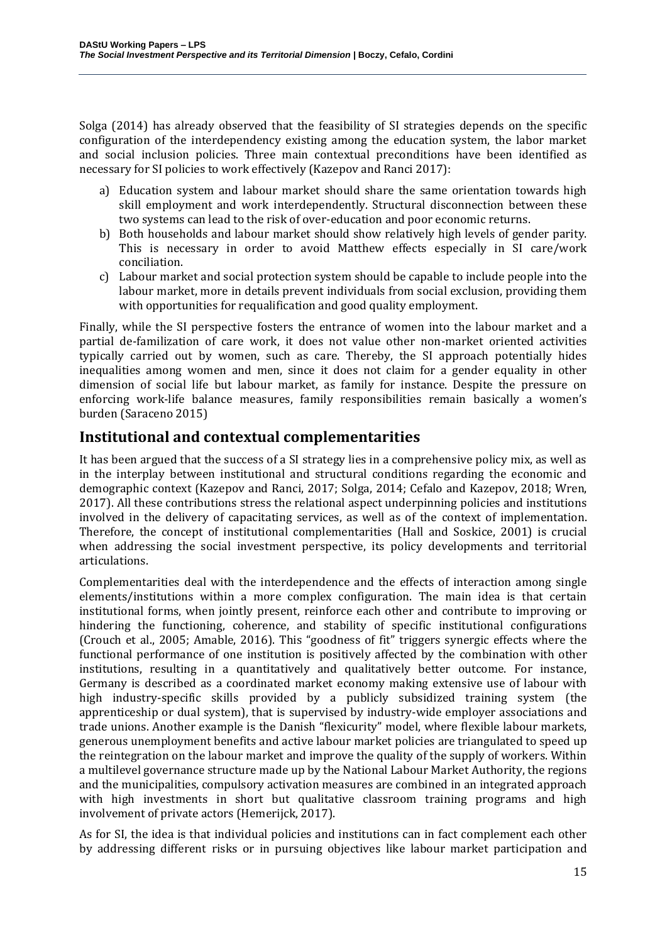Solga (2014) has already observed that the feasibility of SI strategies depends on the specific configuration of the interdependency existing among the education system, the labor market and social inclusion policies. Three main contextual preconditions have been identified as necessary for SI policies to work effectively (Kazepov and Ranci 2017):

- a) Education system and labour market should share the same orientation towards high skill employment and work interdependently. Structural disconnection between these two systems can lead to the risk of over-education and poor economic returns.
- b) Both households and labour market should show relatively high levels of gender parity. This is necessary in order to avoid Matthew effects especially in SI care/work conciliation.
- c) Labour market and social protection system should be capable to include people into the labour market, more in details prevent individuals from social exclusion, providing them with opportunities for requalification and good quality employment.

Finally, while the SI perspective fosters the entrance of women into the labour market and a partial de-familization of care work, it does not value other non-market oriented activities typically carried out by women, such as care. Thereby, the SI approach potentially hides inequalities among women and men, since it does not claim for a gender equality in other dimension of social life but labour market, as family for instance. Despite the pressure on enforcing work-life balance measures, family responsibilities remain basically a women's burden (Saraceno 2015)

### **Institutional and contextual complementarities**

It has been argued that the success of a SI strategy lies in a comprehensive policy mix, as well as in the interplay between institutional and structural conditions regarding the economic and demographic context (Kazepov and Ranci, 2017; Solga, 2014; Cefalo and Kazepov, 2018; Wren, 2017). All these contributions stress the relational aspect underpinning policies and institutions involved in the delivery of capacitating services, as well as of the context of implementation. Therefore, the concept of institutional complementarities (Hall and Soskice, 2001) is crucial when addressing the social investment perspective, its policy developments and territorial articulations.

Complementarities deal with the interdependence and the effects of interaction among single elements/institutions within a more complex configuration. The main idea is that certain institutional forms, when jointly present, reinforce each other and contribute to improving or hindering the functioning, coherence, and stability of specific institutional configurations (Crouch et al., 2005; Amable, 2016). This "goodness of fit" triggers synergic effects where the functional performance of one institution is positively affected by the combination with other institutions, resulting in a quantitatively and qualitatively better outcome. For instance, Germany is described as a coordinated market economy making extensive use of labour with high industry-specific skills provided by a publicly subsidized training system (the apprenticeship or dual system), that is supervised by industry-wide employer associations and trade unions. Another example is the Danish "flexicurity" model, where flexible labour markets, generous unemployment benefits and active labour market policies are triangulated to speed up the reintegration on the labour market and improve the quality of the supply of workers. Within a multilevel governance structure made up by the National Labour Market Authority, the regions and the municipalities, compulsory activation measures are combined in an integrated approach with high investments in short but qualitative classroom training programs and high involvement of private actors (Hemerijck, 2017).

As for SI, the idea is that individual policies and institutions can in fact complement each other by addressing different risks or in pursuing objectives like labour market participation and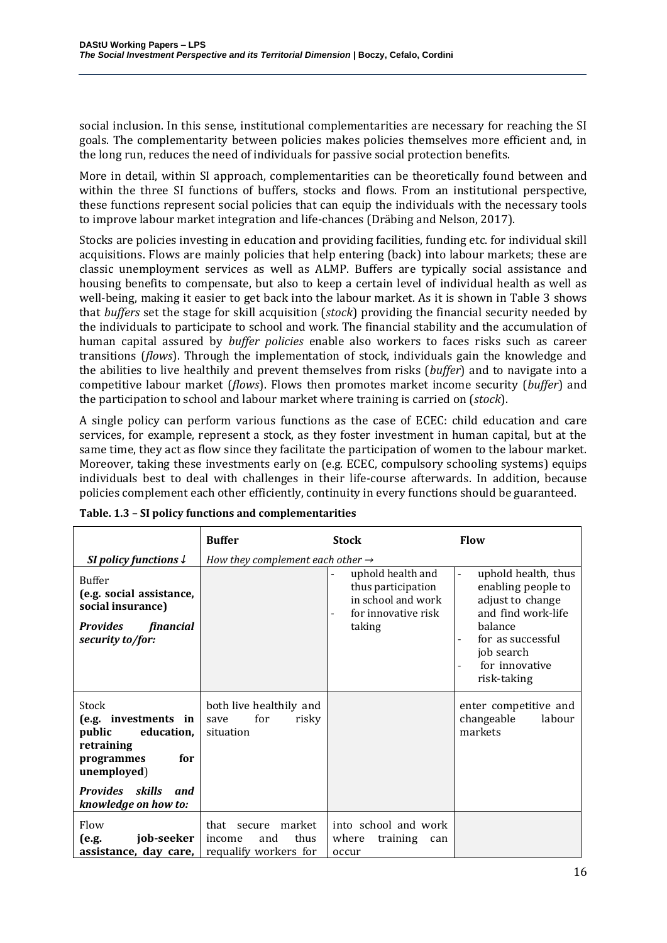social inclusion. In this sense, institutional complementarities are necessary for reaching the SI goals. The complementarity between policies makes policies themselves more efficient and, in the long run, reduces the need of individuals for passive social protection benefits.

More in detail, within SI approach, complementarities can be theoretically found between and within the three SI functions of buffers, stocks and flows. From an institutional perspective, these functions represent social policies that can equip the individuals with the necessary tools to improve labour market integration and life-chances (Dräbing and Nelson, 2017).

Stocks are policies investing in education and providing facilities, funding etc. for individual skill acquisitions. Flows are mainly policies that help entering (back) into labour markets; these are classic unemployment services as well as ALMP. Buffers are typically social assistance and housing benefits to compensate, but also to keep a certain level of individual health as well as well-being, making it easier to get back into the labour market. As it is shown in Table 3 shows that *buffers* set the stage for skill acquisition (*stock*) providing the financial security needed by the individuals to participate to school and work. The financial stability and the accumulation of human capital assured by *buffer policies* enable also workers to faces risks such as career transitions (*flows*). Through the implementation of stock, individuals gain the knowledge and the abilities to live healthily and prevent themselves from risks (*buffer*) and to navigate into a competitive labour market (*flows*). Flows then promotes market income security (*buffer*) and the participation to school and labour market where training is carried on (*stock*).

A single policy can perform various functions as the case of ECEC: child education and care services, for example, represent a stock, as they foster investment in human capital, but at the same time, they act as flow since they facilitate the participation of women to the labour market. Moreover, taking these investments early on (e.g. ECEC, compulsory schooling systems) equips individuals best to deal with challenges in their life-course afterwards. In addition, because policies complement each other efficiently, continuity in every functions should be guaranteed.

|                                                                                                                                                           | <b>Buffer</b><br><b>Stock</b>                                           |                                                                                                | <b>Flow</b>                                                                                                                                                                                                                        |  |  |  |
|-----------------------------------------------------------------------------------------------------------------------------------------------------------|-------------------------------------------------------------------------|------------------------------------------------------------------------------------------------|------------------------------------------------------------------------------------------------------------------------------------------------------------------------------------------------------------------------------------|--|--|--|
| SI policy functions $\downarrow$                                                                                                                          | How they complement each other $\rightarrow$                            |                                                                                                |                                                                                                                                                                                                                                    |  |  |  |
| <b>Buffer</b><br>(e.g. social assistance,<br>social insurance)<br><b>Provides</b><br>financial<br>security to/for:                                        |                                                                         | uphold health and<br>thus participation<br>in school and work<br>for innovative risk<br>taking | uphold health, thus<br>$\overline{\phantom{a}}$<br>enabling people to<br>adjust to change<br>and find work-life<br>balance<br>for as successful<br>$\blacksquare$<br>job search<br>for innovative<br>$\blacksquare$<br>risk-taking |  |  |  |
| Stock<br>(e.g. investments in<br>public<br>education,<br>retraining<br>for<br>programmes<br>unemployed)<br>Provides skills<br>and<br>knowledge on how to: | both live healthily and<br>for<br>risky<br>save<br>situation            |                                                                                                | enter competitive and<br>changeable<br>labour<br>markets                                                                                                                                                                           |  |  |  |
| Flow<br>job-seeker<br>(e.g.<br>assistance, day care,                                                                                                      | market<br>that secure<br>thus<br>income<br>and<br>requalify workers for | into school and work<br>where<br>training<br>can<br>occur                                      |                                                                                                                                                                                                                                    |  |  |  |

| Table. 1.3 - SI policy functions and complementarities |  |  |
|--------------------------------------------------------|--|--|
|--------------------------------------------------------|--|--|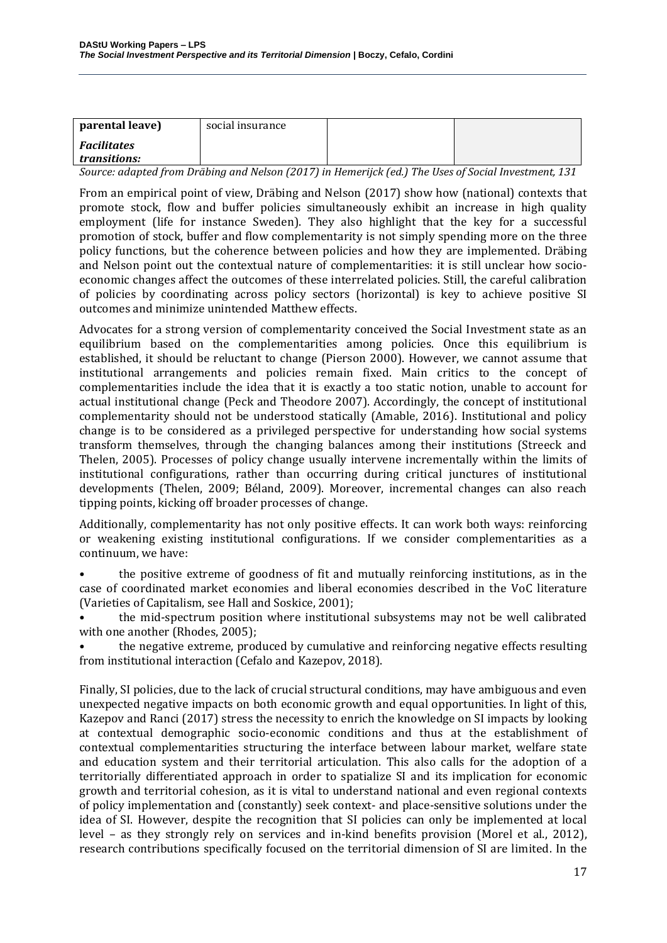| parental leave)                           | social insurance |  |
|-------------------------------------------|------------------|--|
| <i><b>Facilitates</b></i><br>transitions: |                  |  |

*Source: adapted from Dräbing and Nelson (2017) in Hemerijck (ed.) The Uses of Social Investment, 131*

From an empirical point of view, Dräbing and Nelson (2017) show how (national) contexts that promote stock, flow and buffer policies simultaneously exhibit an increase in high quality employment (life for instance Sweden). They also highlight that the key for a successful promotion of stock, buffer and flow complementarity is not simply spending more on the three policy functions, but the coherence between policies and how they are implemented. Dräbing and Nelson point out the contextual nature of complementarities: it is still unclear how socioeconomic changes affect the outcomes of these interrelated policies. Still, the careful calibration of policies by coordinating across policy sectors (horizontal) is key to achieve positive SI outcomes and minimize unintended Matthew effects.

Advocates for a strong version of complementarity conceived the Social Investment state as an equilibrium based on the complementarities among policies. Once this equilibrium is established, it should be reluctant to change (Pierson 2000). However, we cannot assume that institutional arrangements and policies remain fixed. Main critics to the concept of complementarities include the idea that it is exactly a too static notion, unable to account for actual institutional change (Peck and Theodore 2007). Accordingly, the concept of institutional complementarity should not be understood statically (Amable, 2016). Institutional and policy change is to be considered as a privileged perspective for understanding how social systems transform themselves, through the changing balances among their institutions (Streeck and Thelen, 2005). Processes of policy change usually intervene incrementally within the limits of institutional configurations, rather than occurring during critical junctures of institutional developments (Thelen, 2009; Béland, 2009). Moreover, incremental changes can also reach tipping points, kicking off broader processes of change.

Additionally, complementarity has not only positive effects. It can work both ways: reinforcing or weakening existing institutional configurations. If we consider complementarities as a continuum, we have:

• the positive extreme of goodness of fit and mutually reinforcing institutions, as in the case of coordinated market economies and liberal economies described in the VoC literature (Varieties of Capitalism, see Hall and Soskice, 2001);

• the mid-spectrum position where institutional subsystems may not be well calibrated with one another (Rhodes, 2005);

• the negative extreme, produced by cumulative and reinforcing negative effects resulting from institutional interaction (Cefalo and Kazepov, 2018).

Finally, SI policies, due to the lack of crucial structural conditions, may have ambiguous and even unexpected negative impacts on both economic growth and equal opportunities. In light of this, Kazepov and Ranci (2017) stress the necessity to enrich the knowledge on SI impacts by looking at contextual demographic socio-economic conditions and thus at the establishment of contextual complementarities structuring the interface between labour market, welfare state and education system and their territorial articulation. This also calls for the adoption of a territorially differentiated approach in order to spatialize SI and its implication for economic growth and territorial cohesion, as it is vital to understand national and even regional contexts of policy implementation and (constantly) seek context- and place-sensitive solutions under the idea of SI. However, despite the recognition that SI policies can only be implemented at local level – as they strongly rely on services and in-kind benefits provision (Morel et al., 2012), research contributions specifically focused on the territorial dimension of SI are limited. In the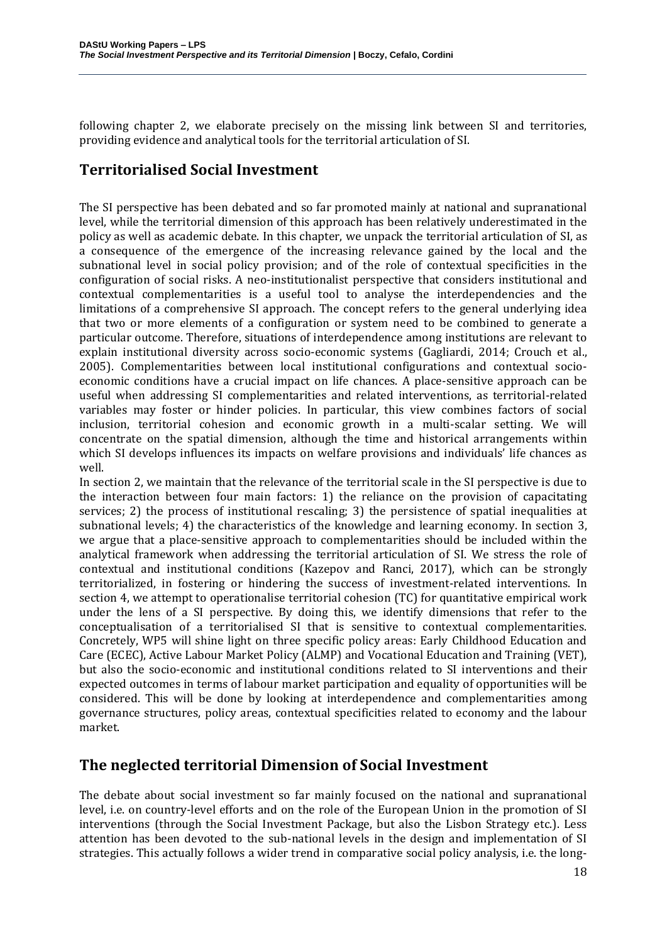following chapter 2, we elaborate precisely on the missing link between SI and territories, providing evidence and analytical tools for the territorial articulation of SI.

# **Territorialised Social Investment**

The SI perspective has been debated and so far promoted mainly at national and supranational level, while the territorial dimension of this approach has been relatively underestimated in the policy as well as academic debate. In this chapter, we unpack the territorial articulation of SI, as a consequence of the emergence of the increasing relevance gained by the local and the subnational level in social policy provision; and of the role of contextual specificities in the configuration of social risks. A neo-institutionalist perspective that considers institutional and contextual complementarities is a useful tool to analyse the interdependencies and the limitations of a comprehensive SI approach. The concept refers to the general underlying idea that two or more elements of a configuration or system need to be combined to generate a particular outcome. Therefore, situations of interdependence among institutions are relevant to explain institutional diversity across socio-economic systems (Gagliardi, 2014; Crouch et al., 2005). Complementarities between local institutional configurations and contextual socioeconomic conditions have a crucial impact on life chances. A place-sensitive approach can be useful when addressing SI complementarities and related interventions, as territorial-related variables may foster or hinder policies. In particular, this view combines factors of social inclusion, territorial cohesion and economic growth in a multi-scalar setting. We will concentrate on the spatial dimension, although the time and historical arrangements within which SI develops influences its impacts on welfare provisions and individuals' life chances as well.

In section 2, we maintain that the relevance of the territorial scale in the SI perspective is due to the interaction between four main factors: 1) the reliance on the provision of capacitating services; 2) the process of institutional rescaling; 3) the persistence of spatial inequalities at subnational levels; 4) the characteristics of the knowledge and learning economy. In section 3, we argue that a place-sensitive approach to complementarities should be included within the analytical framework when addressing the territorial articulation of SI. We stress the role of contextual and institutional conditions (Kazepov and Ranci, 2017), which can be strongly territorialized, in fostering or hindering the success of investment-related interventions. In section 4, we attempt to operationalise territorial cohesion (TC) for quantitative empirical work under the lens of a SI perspective. By doing this, we identify dimensions that refer to the conceptualisation of a territorialised SI that is sensitive to contextual complementarities. Concretely, WP5 will shine light on three specific policy areas: Early Childhood Education and Care (ECEC), Active Labour Market Policy (ALMP) and Vocational Education and Training (VET), but also the socio-economic and institutional conditions related to SI interventions and their expected outcomes in terms of labour market participation and equality of opportunities will be considered. This will be done by looking at interdependence and complementarities among governance structures, policy areas, contextual specificities related to economy and the labour market.

### **The neglected territorial Dimension of Social Investment**

The debate about social investment so far mainly focused on the national and supranational level, i.e. on country-level efforts and on the role of the European Union in the promotion of SI interventions (through the Social Investment Package, but also the Lisbon Strategy etc.). Less attention has been devoted to the sub-national levels in the design and implementation of SI strategies. This actually follows a wider trend in comparative social policy analysis, i.e. the long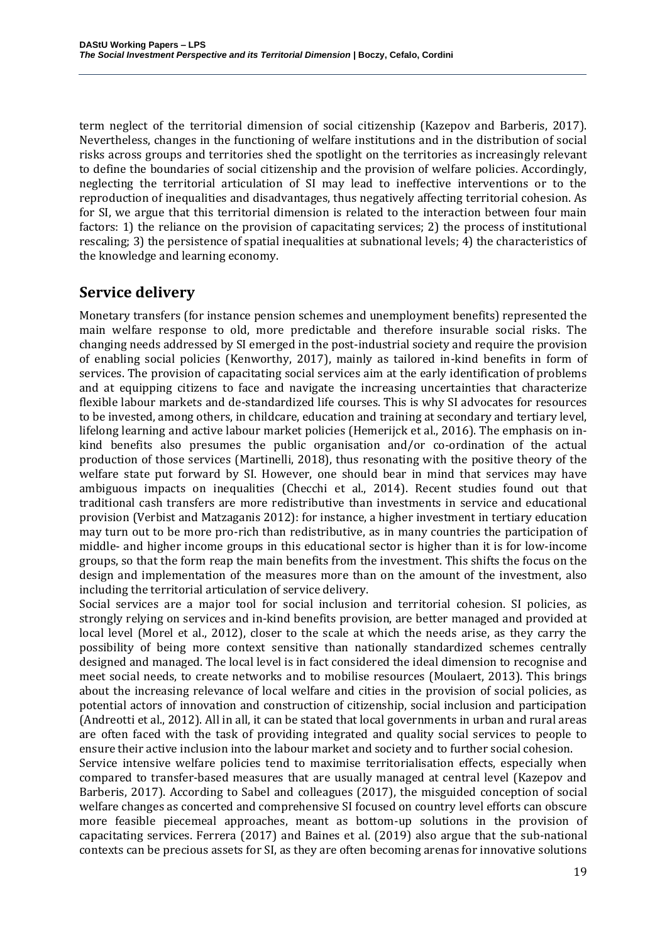term neglect of the territorial dimension of social citizenship (Kazepov and Barberis, 2017). Nevertheless, changes in the functioning of welfare institutions and in the distribution of social risks across groups and territories shed the spotlight on the territories as increasingly relevant to define the boundaries of social citizenship and the provision of welfare policies. Accordingly, neglecting the territorial articulation of SI may lead to ineffective interventions or to the reproduction of inequalities and disadvantages, thus negatively affecting territorial cohesion. As for SI, we argue that this territorial dimension is related to the interaction between four main factors: 1) the reliance on the provision of capacitating services; 2) the process of institutional rescaling; 3) the persistence of spatial inequalities at subnational levels; 4) the characteristics of the knowledge and learning economy.

### **Service delivery**

Monetary transfers (for instance pension schemes and unemployment benefits) represented the main welfare response to old, more predictable and therefore insurable social risks. The changing needs addressed by SI emerged in the post-industrial society and require the provision of enabling social policies (Kenworthy, 2017), mainly as tailored in-kind benefits in form of services. The provision of capacitating social services aim at the early identification of problems and at equipping citizens to face and navigate the increasing uncertainties that characterize flexible labour markets and de-standardized life courses. This is why SI advocates for resources to be invested, among others, in childcare, education and training at secondary and tertiary level, lifelong learning and active labour market policies (Hemerijck et al., 2016). The emphasis on inkind benefits also presumes the public organisation and/or co-ordination of the actual production of those services (Martinelli, 2018), thus resonating with the positive theory of the welfare state put forward by SI. However, one should bear in mind that services may have ambiguous impacts on inequalities (Checchi et al., 2014). Recent studies found out that traditional cash transfers are more redistributive than investments in service and educational provision (Verbist and Matzaganis 2012): for instance, a higher investment in tertiary education may turn out to be more pro-rich than redistributive, as in many countries the participation of middle- and higher income groups in this educational sector is higher than it is for low-income groups, so that the form reap the main benefits from the investment. This shifts the focus on the design and implementation of the measures more than on the amount of the investment, also including the territorial articulation of service delivery.

Social services are a major tool for social inclusion and territorial cohesion. SI policies, as strongly relying on services and in-kind benefits provision, are better managed and provided at local level (Morel et al., 2012), closer to the scale at which the needs arise, as they carry the possibility of being more context sensitive than nationally standardized schemes centrally designed and managed. The local level is in fact considered the ideal dimension to recognise and meet social needs, to create networks and to mobilise resources (Moulaert, 2013). This brings about the increasing relevance of local welfare and cities in the provision of social policies, as potential actors of innovation and construction of citizenship, social inclusion and participation (Andreotti et al., 2012). All in all, it can be stated that local governments in urban and rural areas are often faced with the task of providing integrated and quality social services to people to ensure their active inclusion into the labour market and society and to further social cohesion.

Service intensive welfare policies tend to maximise territorialisation effects, especially when compared to transfer-based measures that are usually managed at central level (Kazepov and Barberis, 2017). According to Sabel and colleagues (2017), the misguided conception of social welfare changes as concerted and comprehensive SI focused on country level efforts can obscure more feasible piecemeal approaches, meant as bottom-up solutions in the provision of capacitating services. Ferrera (2017) and Baines et al. (2019) also argue that the sub-national contexts can be precious assets for SI, as they are often becoming arenas for innovative solutions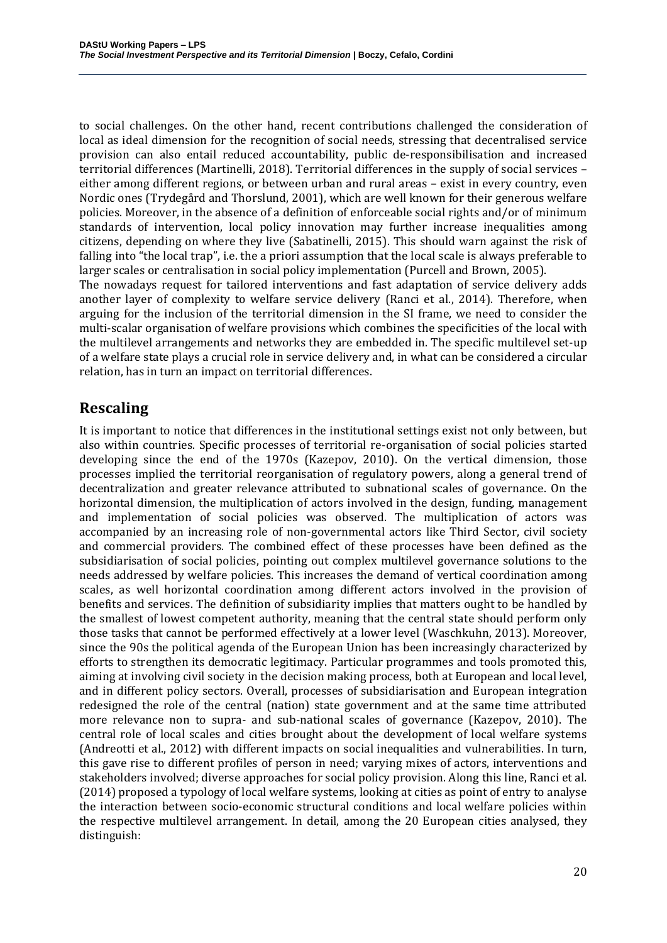to social challenges. On the other hand, recent contributions challenged the consideration of local as ideal dimension for the recognition of social needs, stressing that decentralised service provision can also entail reduced accountability, public de-responsibilisation and increased territorial differences (Martinelli, 2018). Territorial differences in the supply of social services – either among different regions, or between urban and rural areas – exist in every country, even Nordic ones (Trydegård and Thorslund, 2001), which are well known for their generous welfare policies. Moreover, in the absence of a definition of enforceable social rights and/or of minimum standards of intervention, local policy innovation may further increase inequalities among citizens, depending on where they live (Sabatinelli, 2015). This should warn against the risk of falling into "the local trap", i.e. the a priori assumption that the local scale is always preferable to larger scales or centralisation in social policy implementation (Purcell and Brown, 2005).

The nowadays request for tailored interventions and fast adaptation of service delivery adds another layer of complexity to welfare service delivery (Ranci et al., 2014). Therefore, when arguing for the inclusion of the territorial dimension in the SI frame, we need to consider the multi-scalar organisation of welfare provisions which combines the specificities of the local with the multilevel arrangements and networks they are embedded in. The specific multilevel set-up of a welfare state plays a crucial role in service delivery and, in what can be considered a circular relation, has in turn an impact on territorial differences.

# **Rescaling**

It is important to notice that differences in the institutional settings exist not only between, but also within countries. Specific processes of territorial re-organisation of social policies started developing since the end of the 1970s (Kazepov, 2010). On the vertical dimension, those processes implied the territorial reorganisation of regulatory powers, along a general trend of decentralization and greater relevance attributed to subnational scales of governance. On the horizontal dimension, the multiplication of actors involved in the design, funding, management and implementation of social policies was observed. The multiplication of actors was accompanied by an increasing role of non-governmental actors like Third Sector, civil society and commercial providers. The combined effect of these processes have been defined as the subsidiarisation of social policies, pointing out complex multilevel governance solutions to the needs addressed by welfare policies. This increases the demand of vertical coordination among scales, as well horizontal coordination among different actors involved in the provision of benefits and services. The definition of subsidiarity implies that matters ought to be handled by the smallest of lowest competent authority, meaning that the central state should perform only those tasks that cannot be performed effectively at a lower level (Waschkuhn, 2013). Moreover, since the 90s the political agenda of the European Union has been increasingly characterized by efforts to strengthen its democratic legitimacy. Particular programmes and tools promoted this, aiming at involving civil society in the decision making process, both at European and local level, and in different policy sectors. Overall, processes of subsidiarisation and European integration redesigned the role of the central (nation) state government and at the same time attributed more relevance non to supra- and sub-national scales of governance (Kazepov, 2010). The central role of local scales and cities brought about the development of local welfare systems (Andreotti et al., 2012) with different impacts on social inequalities and vulnerabilities. In turn, this gave rise to different profiles of person in need; varying mixes of actors, interventions and stakeholders involved; diverse approaches for social policy provision. Along this line, Ranci et al. (2014) proposed a typology of local welfare systems, looking at cities as point of entry to analyse the interaction between socio-economic structural conditions and local welfare policies within the respective multilevel arrangement. In detail, among the 20 European cities analysed, they distinguish: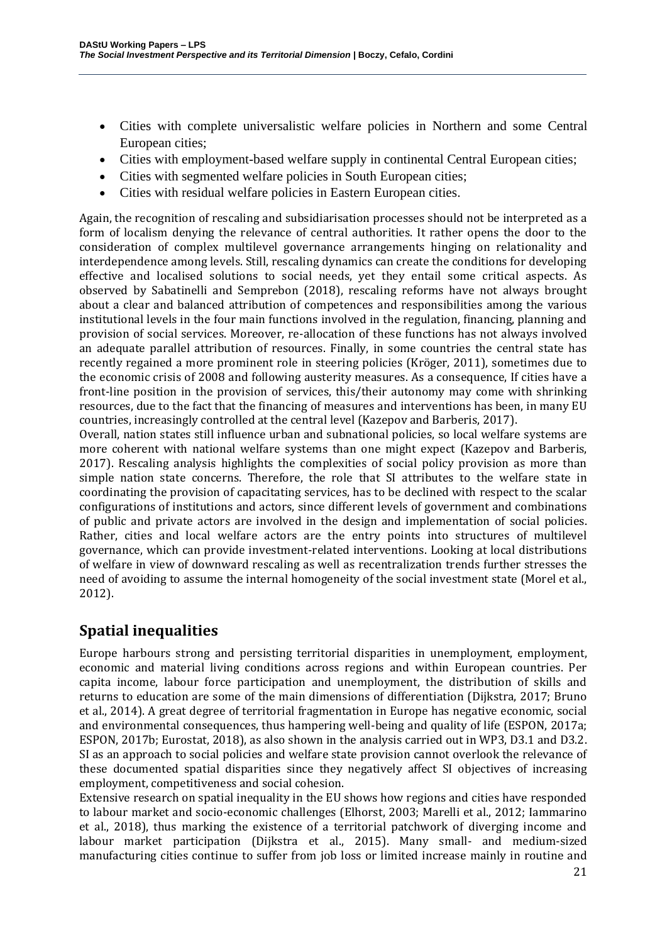- Cities with complete universalistic welfare policies in Northern and some Central European cities;
- Cities with employment-based welfare supply in continental Central European cities;
- Cities with segmented welfare policies in South European cities;
- Cities with residual welfare policies in Eastern European cities.

Again, the recognition of rescaling and subsidiarisation processes should not be interpreted as a form of localism denying the relevance of central authorities. It rather opens the door to the consideration of complex multilevel governance arrangements hinging on relationality and interdependence among levels. Still, rescaling dynamics can create the conditions for developing effective and localised solutions to social needs, yet they entail some critical aspects. As observed by Sabatinelli and Semprebon (2018), rescaling reforms have not always brought about a clear and balanced attribution of competences and responsibilities among the various institutional levels in the four main functions involved in the regulation, financing, planning and provision of social services. Moreover, re-allocation of these functions has not always involved an adequate parallel attribution of resources. Finally, in some countries the central state has recently regained a more prominent role in steering policies (Kröger, 2011), sometimes due to the economic crisis of 2008 and following austerity measures. As a consequence, If cities have a front-line position in the provision of services, this/their autonomy may come with shrinking resources, due to the fact that the financing of measures and interventions has been, in many EU countries, increasingly controlled at the central level (Kazepov and Barberis, 2017).

Overall, nation states still influence urban and subnational policies, so local welfare systems are more coherent with national welfare systems than one might expect (Kazepov and Barberis, 2017). Rescaling analysis highlights the complexities of social policy provision as more than simple nation state concerns. Therefore, the role that SI attributes to the welfare state in coordinating the provision of capacitating services, has to be declined with respect to the scalar configurations of institutions and actors, since different levels of government and combinations of public and private actors are involved in the design and implementation of social policies. Rather, cities and local welfare actors are the entry points into structures of multilevel governance, which can provide investment-related interventions. Looking at local distributions of welfare in view of downward rescaling as well as recentralization trends further stresses the need of avoiding to assume the internal homogeneity of the social investment state (Morel et al., 2012).

# **Spatial inequalities**

Europe harbours strong and persisting territorial disparities in unemployment, employment, economic and material living conditions across regions and within European countries. Per capita income, labour force participation and unemployment, the distribution of skills and returns to education are some of the main dimensions of differentiation (Dijkstra, 2017; Bruno et al., 2014). A great degree of territorial fragmentation in Europe has negative economic, social and environmental consequences, thus hampering well-being and quality of life (ESPON, 2017a; ESPON, 2017b; Eurostat, 2018), as also shown in the analysis carried out in WP3, D3.1 and D3.2. SI as an approach to social policies and welfare state provision cannot overlook the relevance of these documented spatial disparities since they negatively affect SI objectives of increasing employment, competitiveness and social cohesion.

Extensive research on spatial inequality in the EU shows how regions and cities have responded to labour market and socio-economic challenges (Elhorst, 2003; Marelli et al., 2012; Iammarino et al., 2018), thus marking the existence of a territorial patchwork of diverging income and labour market participation (Dijkstra et al., 2015). Many small- and medium-sized manufacturing cities continue to suffer from job loss or limited increase mainly in routine and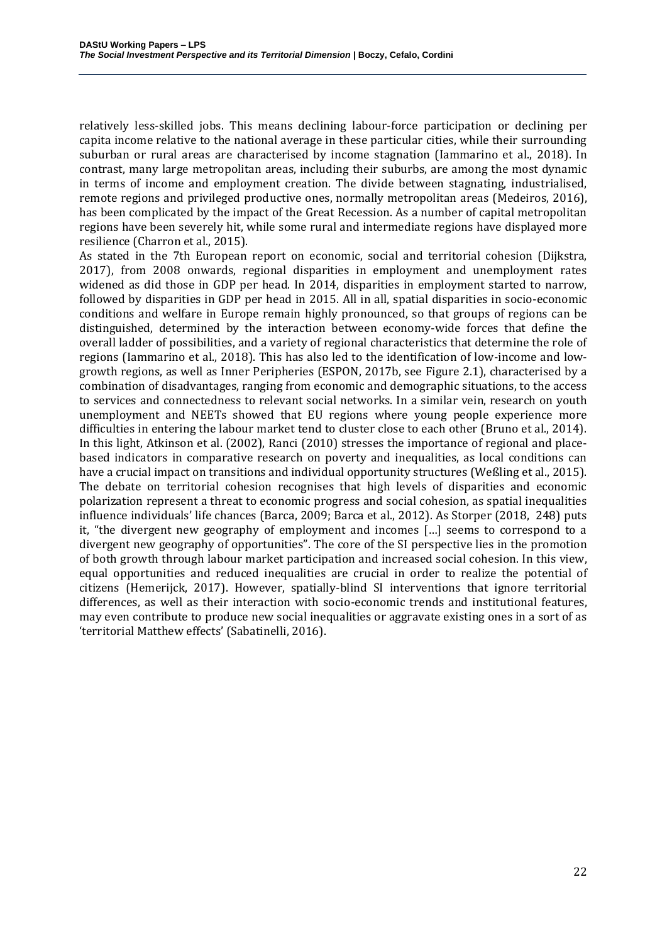relatively less-skilled jobs. This means declining labour-force participation or declining per capita income relative to the national average in these particular cities, while their surrounding suburban or rural areas are characterised by income stagnation (Iammarino et al., 2018). In contrast, many large metropolitan areas, including their suburbs, are among the most dynamic in terms of income and employment creation. The divide between stagnating, industrialised, remote regions and privileged productive ones, normally metropolitan areas (Medeiros, 2016), has been complicated by the impact of the Great Recession. As a number of capital metropolitan regions have been severely hit, while some rural and intermediate regions have displayed more resilience (Charron et al., 2015).

As stated in the 7th European report on economic, social and territorial cohesion (Dijkstra, 2017), from 2008 onwards, regional disparities in employment and unemployment rates widened as did those in GDP per head. In 2014, disparities in employment started to narrow, followed by disparities in GDP per head in 2015. All in all, spatial disparities in socio-economic conditions and welfare in Europe remain highly pronounced, so that groups of regions can be distinguished, determined by the interaction between economy-wide forces that define the overall ladder of possibilities, and a variety of regional characteristics that determine the role of regions (Iammarino et al., 2018). This has also led to the identification of low-income and lowgrowth regions, as well as Inner Peripheries (ESPON, 2017b, see Figure 2.1), characterised by a combination of disadvantages, ranging from economic and demographic situations, to the access to services and connectedness to relevant social networks. In a similar vein, research on youth unemployment and NEETs showed that EU regions where young people experience more difficulties in entering the labour market tend to cluster close to each other (Bruno et al., 2014). In this light, Atkinson et al. (2002), Ranci (2010) stresses the importance of regional and placebased indicators in comparative research on poverty and inequalities, as local conditions can have a crucial impact on transitions and individual opportunity structures (Weßling et al., 2015). The debate on territorial cohesion recognises that high levels of disparities and economic polarization represent a threat to economic progress and social cohesion, as spatial inequalities influence individuals' life chances (Barca, 2009; Barca et al., 2012). As Storper (2018, 248) puts it, "the divergent new geography of employment and incomes […] seems to correspond to a divergent new geography of opportunities". The core of the SI perspective lies in the promotion of both growth through labour market participation and increased social cohesion. In this view, equal opportunities and reduced inequalities are crucial in order to realize the potential of citizens (Hemerijck, 2017). However, spatially-blind SI interventions that ignore territorial differences, as well as their interaction with socio-economic trends and institutional features, may even contribute to produce new social inequalities or aggravate existing ones in a sort of as 'territorial Matthew effects' (Sabatinelli, 2016).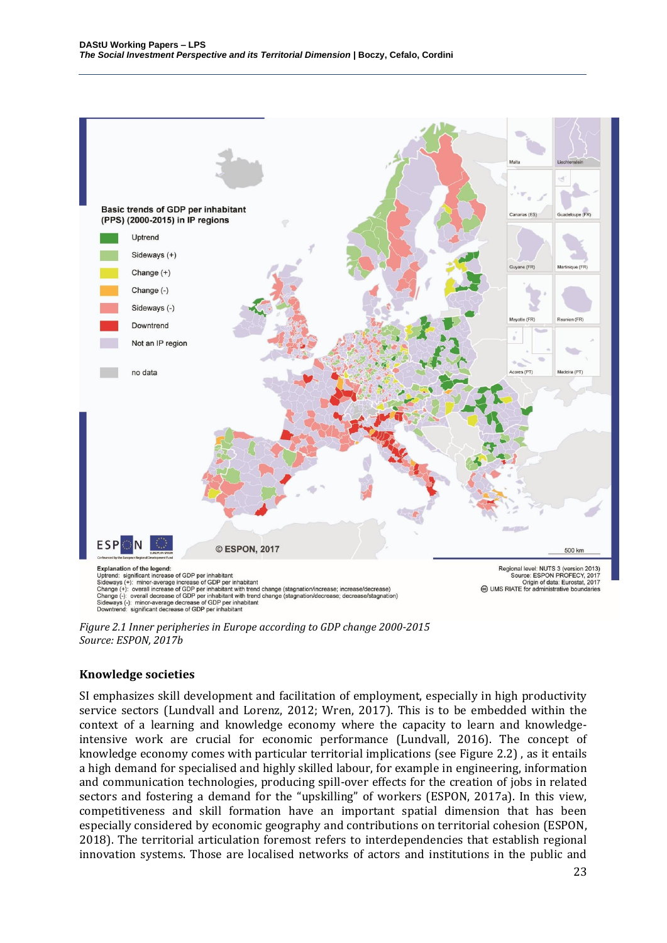

*Figure 2.1 Inner peripheries in Europe according to GDP change 2000-2015 Source: ESPON, 2017b*

#### **Knowledge societies**

SI emphasizes skill development and facilitation of employment, especially in high productivity service sectors (Lundvall and Lorenz, 2012; Wren, 2017). This is to be embedded within the context of a learning and knowledge economy where the capacity to learn and knowledgeintensive work are crucial for economic performance (Lundvall, 2016). The concept of knowledge economy comes with particular territorial implications (see Figure 2.2) , as it entails a high demand for specialised and highly skilled labour, for example in engineering, information and communication technologies, producing spill-over effects for the creation of jobs in related sectors and fostering a demand for the "upskilling" of workers (ESPON, 2017a). In this view, competitiveness and skill formation have an important spatial dimension that has been especially considered by economic geography and contributions on territorial cohesion (ESPON, 2018). The territorial articulation foremost refers to interdependencies that establish regional innovation systems. Those are localised networks of actors and institutions in the public and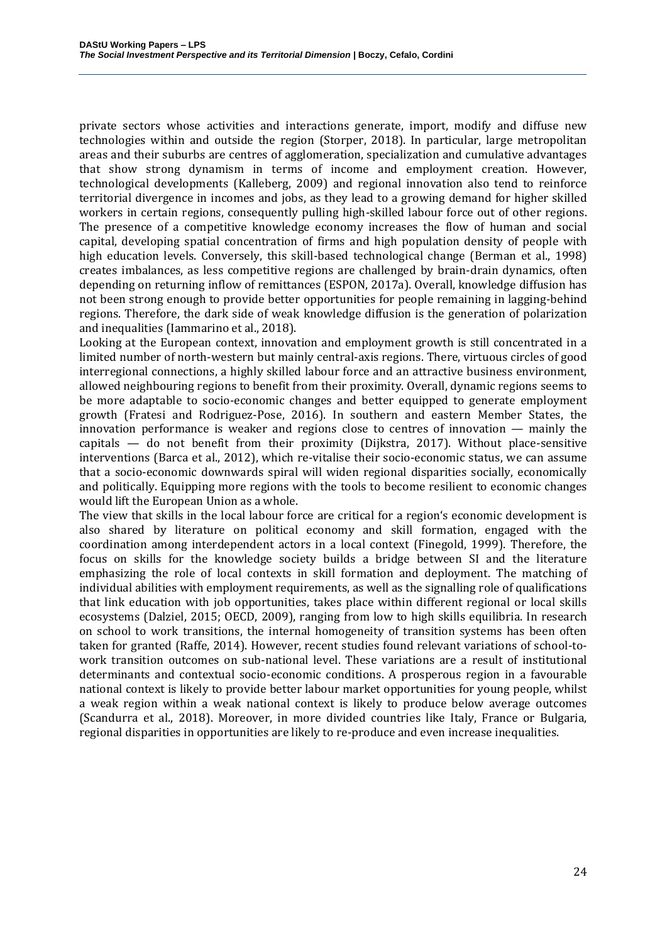private sectors whose activities and interactions generate, import, modify and diffuse new technologies within and outside the region (Storper, 2018). In particular, large metropolitan areas and their suburbs are centres of agglomeration, specialization and cumulative advantages that show strong dynamism in terms of income and employment creation. However, technological developments (Kalleberg, 2009) and regional innovation also tend to reinforce territorial divergence in incomes and jobs, as they lead to a growing demand for higher skilled workers in certain regions, consequently pulling high-skilled labour force out of other regions. The presence of a competitive knowledge economy increases the flow of human and social capital, developing spatial concentration of firms and high population density of people with high education levels. Conversely, this skill-based technological change (Berman et al., 1998) creates imbalances, as less competitive regions are challenged by brain-drain dynamics, often depending on returning inflow of remittances (ESPON, 2017a). Overall, knowledge diffusion has not been strong enough to provide better opportunities for people remaining in lagging-behind regions. Therefore, the dark side of weak knowledge diffusion is the generation of polarization and inequalities (Iammarino et al., 2018).

Looking at the European context, innovation and employment growth is still concentrated in a limited number of north-western but mainly central-axis regions. There, virtuous circles of good interregional connections, a highly skilled labour force and an attractive business environment, allowed neighbouring regions to benefit from their proximity. Overall, dynamic regions seems to be more adaptable to socio-economic changes and better equipped to generate employment growth (Fratesi and Rodriguez-Pose, 2016). In southern and eastern Member States, the innovation performance is weaker and regions close to centres of innovation — mainly the capitals  $-$  do not benefit from their proximity (Dijkstra, 2017). Without place-sensitive interventions (Barca et al., 2012), which re-vitalise their socio-economic status, we can assume that a socio-economic downwards spiral will widen regional disparities socially, economically and politically. Equipping more regions with the tools to become resilient to economic changes would lift the European Union as a whole.

The view that skills in the local labour force are critical for a region's economic development is also shared by literature on political economy and skill formation, engaged with the coordination among interdependent actors in a local context (Finegold, 1999). Therefore, the focus on skills for the knowledge society builds a bridge between SI and the literature emphasizing the role of local contexts in skill formation and deployment. The matching of individual abilities with employment requirements, as well as the signalling role of qualifications that link education with job opportunities, takes place within different regional or local skills ecosystems (Dalziel, 2015; OECD, 2009), ranging from low to high skills equilibria. In research on school to work transitions, the internal homogeneity of transition systems has been often taken for granted (Raffe, 2014). However, recent studies found relevant variations of school-towork transition outcomes on sub-national level. These variations are a result of institutional determinants and contextual socio-economic conditions. A prosperous region in a favourable national context is likely to provide better labour market opportunities for young people, whilst a weak region within a weak national context is likely to produce below average outcomes (Scandurra et al., 2018). Moreover, in more divided countries like Italy, France or Bulgaria, regional disparities in opportunities are likely to re-produce and even increase inequalities.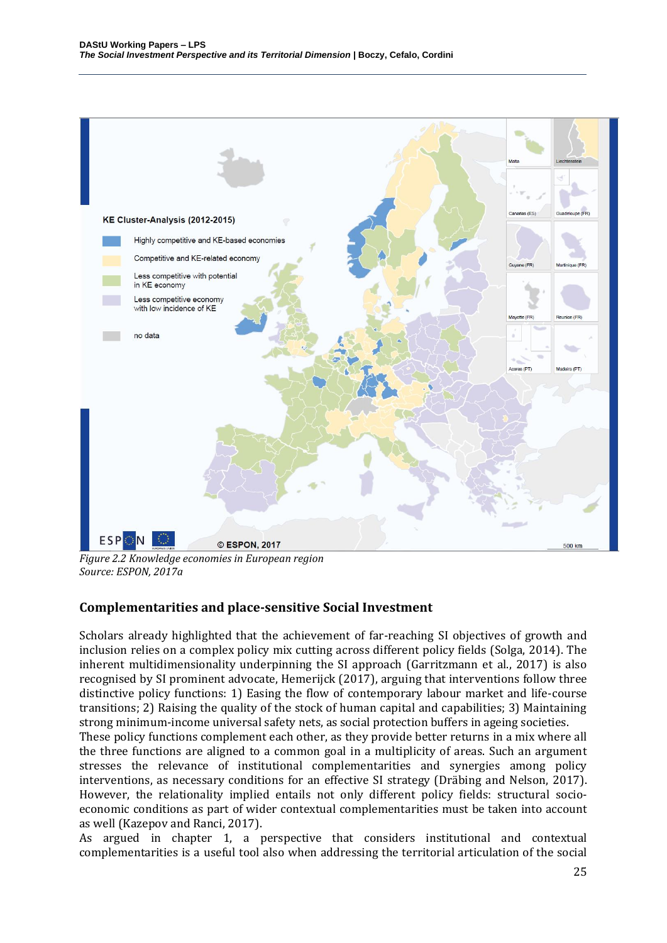

*Figure 2.2 Knowledge economies in European region Source: ESPON, 2017a*

#### **Complementarities and place-sensitive Social Investment**

Scholars already highlighted that the achievement of far-reaching SI objectives of growth and inclusion relies on a complex policy mix cutting across different policy fields (Solga, 2014). The inherent multidimensionality underpinning the SI approach (Garritzmann et al., 2017) is also recognised by SI prominent advocate, Hemerijck (2017), arguing that interventions follow three distinctive policy functions: 1) Easing the flow of contemporary labour market and life-course transitions; 2) Raising the quality of the stock of human capital and capabilities; 3) Maintaining strong minimum-income universal safety nets, as social protection buffers in ageing societies.

These policy functions complement each other, as they provide better returns in a mix where all the three functions are aligned to a common goal in a multiplicity of areas. Such an argument stresses the relevance of institutional complementarities and synergies among policy interventions, as necessary conditions for an effective SI strategy (Dräbing and Nelson, 2017). However, the relationality implied entails not only different policy fields: structural socioeconomic conditions as part of wider contextual complementarities must be taken into account as well (Kazepov and Ranci, 2017).

As argued in chapter 1, a perspective that considers institutional and contextual complementarities is a useful tool also when addressing the territorial articulation of the social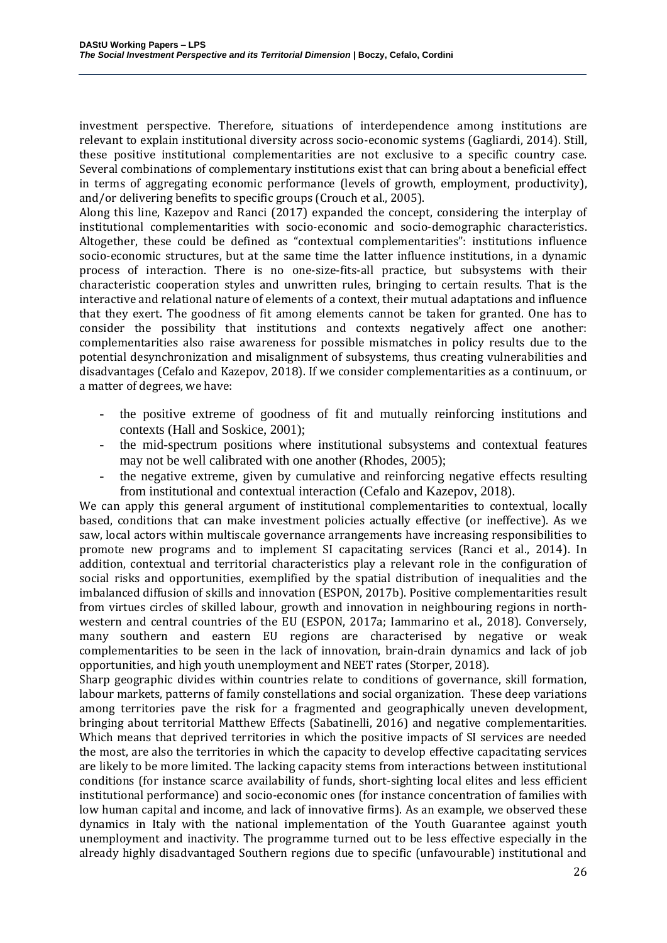investment perspective. Therefore, situations of interdependence among institutions are relevant to explain institutional diversity across socio-economic systems (Gagliardi, 2014). Still, these positive institutional complementarities are not exclusive to a specific country case. Several combinations of complementary institutions exist that can bring about a beneficial effect in terms of aggregating economic performance (levels of growth, employment, productivity), and/or delivering benefits to specific groups (Crouch et al., 2005).

Along this line, Kazepov and Ranci (2017) expanded the concept, considering the interplay of institutional complementarities with socio-economic and socio-demographic characteristics. Altogether, these could be defined as "contextual complementarities": institutions influence socio-economic structures, but at the same time the latter influence institutions, in a dynamic process of interaction. There is no one-size-fits-all practice, but subsystems with their characteristic cooperation styles and unwritten rules, bringing to certain results. That is the interactive and relational nature of elements of a context, their mutual adaptations and influence that they exert. The goodness of fit among elements cannot be taken for granted. One has to consider the possibility that institutions and contexts negatively affect one another: complementarities also raise awareness for possible mismatches in policy results due to the potential desynchronization and misalignment of subsystems, thus creating vulnerabilities and disadvantages (Cefalo and Kazepov, 2018). If we consider complementarities as a continuum, or a matter of degrees, we have:

- the positive extreme of goodness of fit and mutually reinforcing institutions and contexts (Hall and Soskice, 2001);
- the mid-spectrum positions where institutional subsystems and contextual features may not be well calibrated with one another (Rhodes, 2005);
- the negative extreme, given by cumulative and reinforcing negative effects resulting from institutional and contextual interaction (Cefalo and Kazepov, 2018).

We can apply this general argument of institutional complementarities to contextual, locally based, conditions that can make investment policies actually effective (or ineffective). As we saw, local actors within multiscale governance arrangements have increasing responsibilities to promote new programs and to implement SI capacitating services (Ranci et al., 2014). In addition, contextual and territorial characteristics play a relevant role in the configuration of social risks and opportunities, exemplified by the spatial distribution of inequalities and the imbalanced diffusion of skills and innovation (ESPON, 2017b). Positive complementarities result from virtues circles of skilled labour, growth and innovation in neighbouring regions in northwestern and central countries of the EU (ESPON, 2017a; Iammarino et al., 2018). Conversely, many southern and eastern EU regions are characterised by negative or weak complementarities to be seen in the lack of innovation, brain-drain dynamics and lack of job opportunities, and high youth unemployment and NEET rates (Storper, 2018).

Sharp geographic divides within countries relate to conditions of governance, skill formation, labour markets, patterns of family constellations and social organization. These deep variations among territories pave the risk for a fragmented and geographically uneven development, bringing about territorial Matthew Effects (Sabatinelli, 2016) and negative complementarities. Which means that deprived territories in which the positive impacts of SI services are needed the most, are also the territories in which the capacity to develop effective capacitating services are likely to be more limited. The lacking capacity stems from interactions between institutional conditions (for instance scarce availability of funds, short-sighting local elites and less efficient institutional performance) and socio-economic ones (for instance concentration of families with low human capital and income, and lack of innovative firms). As an example, we observed these dynamics in Italy with the national implementation of the Youth Guarantee against youth unemployment and inactivity. The programme turned out to be less effective especially in the already highly disadvantaged Southern regions due to specific (unfavourable) institutional and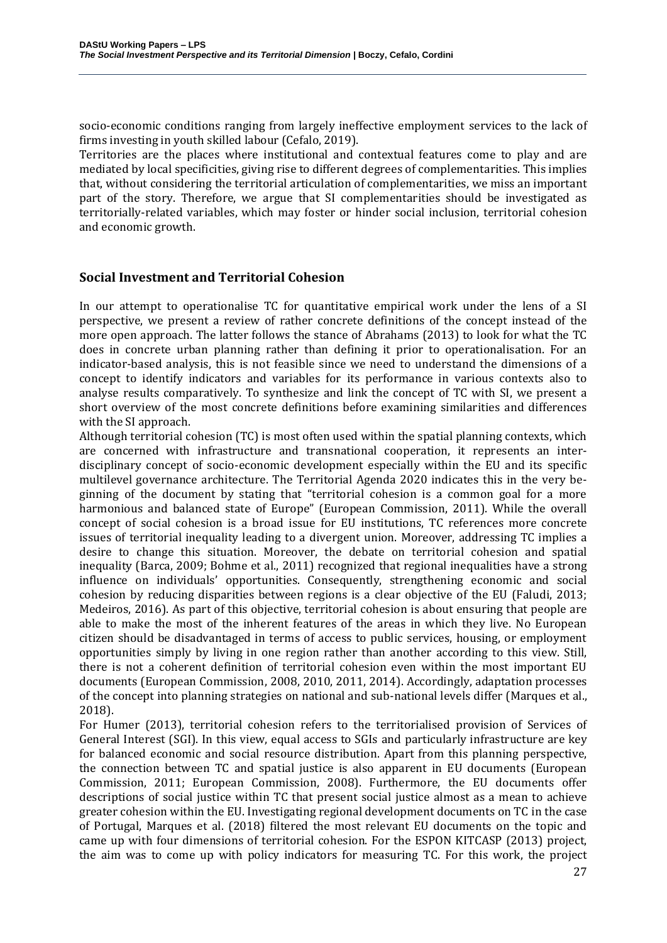socio-economic conditions ranging from largely ineffective employment services to the lack of firms investing in youth skilled labour (Cefalo, 2019).

Territories are the places where institutional and contextual features come to play and are mediated by local specificities, giving rise to different degrees of complementarities. This implies that, without considering the territorial articulation of complementarities, we miss an important part of the story. Therefore, we argue that SI complementarities should be investigated as territorially-related variables, which may foster or hinder social inclusion, territorial cohesion and economic growth.

#### **Social Investment and Territorial Cohesion**

In our attempt to operationalise TC for quantitative empirical work under the lens of a SI perspective, we present a review of rather concrete definitions of the concept instead of the more open approach. The latter follows the stance of Abrahams (2013) to look for what the TC does in concrete urban planning rather than defining it prior to operationalisation. For an indicator-based analysis, this is not feasible since we need to understand the dimensions of a concept to identify indicators and variables for its performance in various contexts also to analyse results comparatively. To synthesize and link the concept of TC with SI, we present a short overview of the most concrete definitions before examining similarities and differences with the SI approach.

Although territorial cohesion (TC) is most often used within the spatial planning contexts, which are concerned with infrastructure and transnational cooperation, it represents an interdisciplinary concept of socio-economic development especially within the EU and its specific multilevel governance architecture. The Territorial Agenda 2020 indicates this in the very beginning of the document by stating that "territorial cohesion is a common goal for a more harmonious and balanced state of Europe" (European Commission, 2011). While the overall concept of social cohesion is a broad issue for EU institutions, TC references more concrete issues of territorial inequality leading to a divergent union. Moreover, addressing TC implies a desire to change this situation. Moreover, the debate on territorial cohesion and spatial inequality (Barca, 2009; Bohme et al., 2011) recognized that regional inequalities have a strong influence on individuals' opportunities. Consequently, strengthening economic and social cohesion by reducing disparities between regions is a clear objective of the EU (Faludi, 2013; Medeiros, 2016). As part of this objective, territorial cohesion is about ensuring that people are able to make the most of the inherent features of the areas in which they live. No European citizen should be disadvantaged in terms of access to public services, housing, or employment opportunities simply by living in one region rather than another according to this view. Still, there is not a coherent definition of territorial cohesion even within the most important EU documents (European Commission, 2008, 2010, 2011, 2014). Accordingly, adaptation processes of the concept into planning strategies on national and sub-national levels differ (Marques et al., 2018).

For Humer (2013), territorial cohesion refers to the territorialised provision of Services of General Interest (SGI). In this view, equal access to SGIs and particularly infrastructure are key for balanced economic and social resource distribution. Apart from this planning perspective, the connection between TC and spatial justice is also apparent in EU documents (European Commission, 2011; European Commission, 2008). Furthermore, the EU documents offer descriptions of social justice within TC that present social justice almost as a mean to achieve greater cohesion within the EU. Investigating regional development documents on TC in the case of Portugal, Marques et al. (2018) filtered the most relevant EU documents on the topic and came up with four dimensions of territorial cohesion. For the ESPON KITCASP (2013) project, the aim was to come up with policy indicators for measuring TC. For this work, the project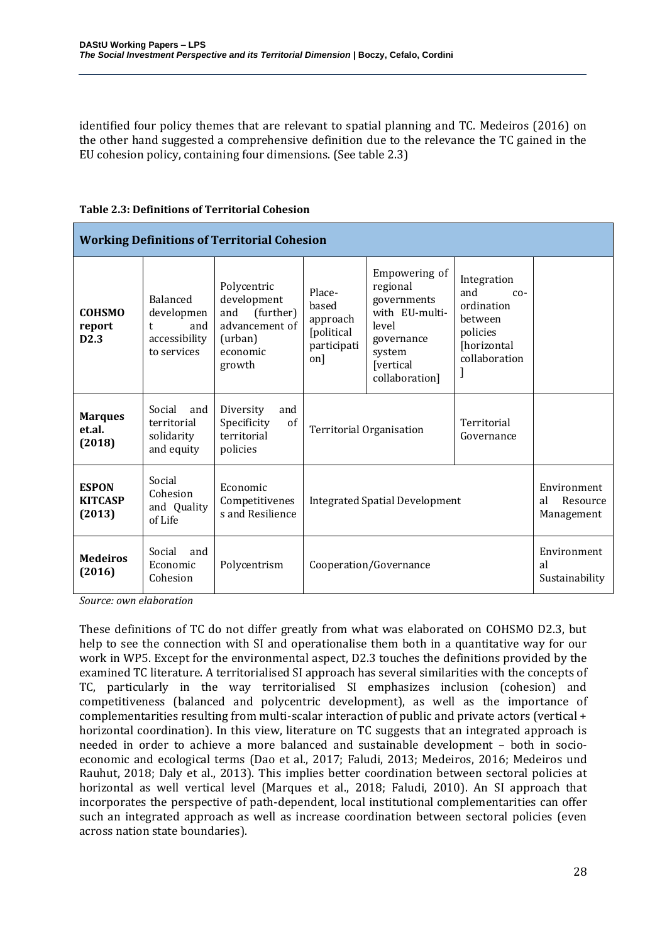identified four policy themes that are relevant to spatial planning and TC. Medeiros (2016) on the other hand suggested a comprehensive definition due to the relevance the TC gained in the EU cohesion policy, containing four dimensions. (See table 2.3)

| <b>Working Definitions of Territorial Cohesion</b> |                                                                    |                                                                                                   |                                                                  |                                                                                                                            |                                                                                                  |                                             |
|----------------------------------------------------|--------------------------------------------------------------------|---------------------------------------------------------------------------------------------------|------------------------------------------------------------------|----------------------------------------------------------------------------------------------------------------------------|--------------------------------------------------------------------------------------------------|---------------------------------------------|
| <b>COHSMO</b><br>report<br>D <sub>2.3</sub>        | Balanced<br>developmen<br>and<br>t<br>accessibility<br>to services | Polycentric<br>development<br>(further)<br>and<br>advancement of<br>(urban)<br>economic<br>growth | Place-<br>based<br>approach<br>[political]<br>participati<br>on] | Empowering of<br>regional<br>governments<br>with EU-multi-<br>level<br>governance<br>system<br>[vertical<br>collaboration] | Integration<br>and<br>$CO-$<br>ordination<br>between<br>policies<br>[horizontal<br>collaboration |                                             |
| <b>Marques</b><br>et.al.<br>(2018)                 | Social<br>and<br>territorial<br>solidarity<br>and equity           | Diversity<br>and<br>of<br>Specificity<br>territorial<br>policies                                  | <b>Territorial Organisation</b>                                  |                                                                                                                            | Territorial<br>Governance                                                                        |                                             |
| <b>ESPON</b><br><b>KITCASP</b><br>(2013)           | Social<br>Cohesion<br>and Quality<br>of Life                       | Economic<br>Competitivenes<br>s and Resilience                                                    | <b>Integrated Spatial Development</b>                            |                                                                                                                            |                                                                                                  | Environment<br>al<br>Resource<br>Management |
| <b>Medeiros</b><br>(2016)                          | Social<br>and<br>Economic<br>Cohesion                              | Polycentrism                                                                                      | Cooperation/Governance                                           |                                                                                                                            |                                                                                                  | Environment<br>al<br>Sustainability         |

#### **Table 2.3: Definitions of Territorial Cohesion**

*Source: own elaboration*

These definitions of TC do not differ greatly from what was elaborated on COHSMO D2.3, but help to see the connection with SI and operationalise them both in a quantitative way for our work in WP5. Except for the environmental aspect, D2.3 touches the definitions provided by the examined TC literature. A territorialised SI approach has several similarities with the concepts of TC, particularly in the way territorialised SI emphasizes inclusion (cohesion) and competitiveness (balanced and polycentric development), as well as the importance of complementarities resulting from multi-scalar interaction of public and private actors (vertical + horizontal coordination). In this view, literature on TC suggests that an integrated approach is needed in order to achieve a more balanced and sustainable development – both in socioeconomic and ecological terms (Dao et al., 2017; Faludi, 2013; Medeiros, 2016; Medeiros und Rauhut, 2018; Daly et al., 2013). This implies better coordination between sectoral policies at horizontal as well vertical level (Marques et al., 2018; Faludi, 2010). An SI approach that incorporates the perspective of path-dependent, local institutional complementarities can offer such an integrated approach as well as increase coordination between sectoral policies (even across nation state boundaries).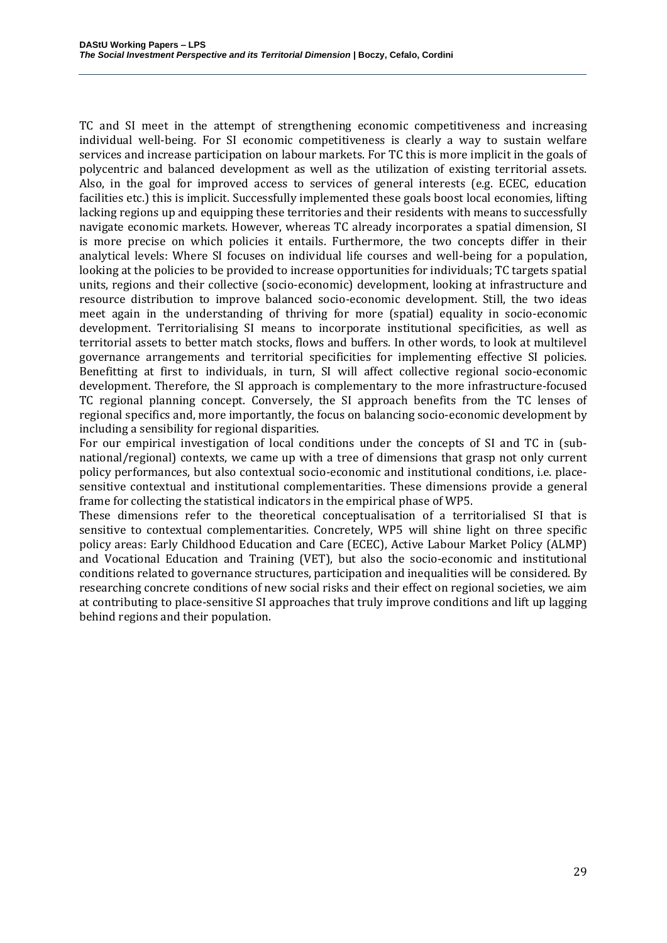TC and SI meet in the attempt of strengthening economic competitiveness and increasing individual well-being. For SI economic competitiveness is clearly a way to sustain welfare services and increase participation on labour markets. For TC this is more implicit in the goals of polycentric and balanced development as well as the utilization of existing territorial assets. Also, in the goal for improved access to services of general interests (e.g. ECEC, education facilities etc.) this is implicit. Successfully implemented these goals boost local economies, lifting lacking regions up and equipping these territories and their residents with means to successfully navigate economic markets. However, whereas TC already incorporates a spatial dimension, SI is more precise on which policies it entails. Furthermore, the two concepts differ in their analytical levels: Where SI focuses on individual life courses and well-being for a population, looking at the policies to be provided to increase opportunities for individuals; TC targets spatial units, regions and their collective (socio-economic) development, looking at infrastructure and resource distribution to improve balanced socio-economic development. Still, the two ideas meet again in the understanding of thriving for more (spatial) equality in socio-economic development. Territorialising SI means to incorporate institutional specificities, as well as territorial assets to better match stocks, flows and buffers. In other words, to look at multilevel governance arrangements and territorial specificities for implementing effective SI policies. Benefitting at first to individuals, in turn, SI will affect collective regional socio-economic development. Therefore, the SI approach is complementary to the more infrastructure-focused TC regional planning concept. Conversely, the SI approach benefits from the TC lenses of regional specifics and, more importantly, the focus on balancing socio-economic development by including a sensibility for regional disparities.

For our empirical investigation of local conditions under the concepts of SI and TC in (subnational/regional) contexts, we came up with a tree of dimensions that grasp not only current policy performances, but also contextual socio-economic and institutional conditions, i.e. placesensitive contextual and institutional complementarities. These dimensions provide a general frame for collecting the statistical indicators in the empirical phase of WP5.

These dimensions refer to the theoretical conceptualisation of a territorialised SI that is sensitive to contextual complementarities. Concretely, WP5 will shine light on three specific policy areas: Early Childhood Education and Care (ECEC), Active Labour Market Policy (ALMP) and Vocational Education and Training (VET), but also the socio-economic and institutional conditions related to governance structures, participation and inequalities will be considered. By researching concrete conditions of new social risks and their effect on regional societies, we aim at contributing to place-sensitive SI approaches that truly improve conditions and lift up lagging behind regions and their population.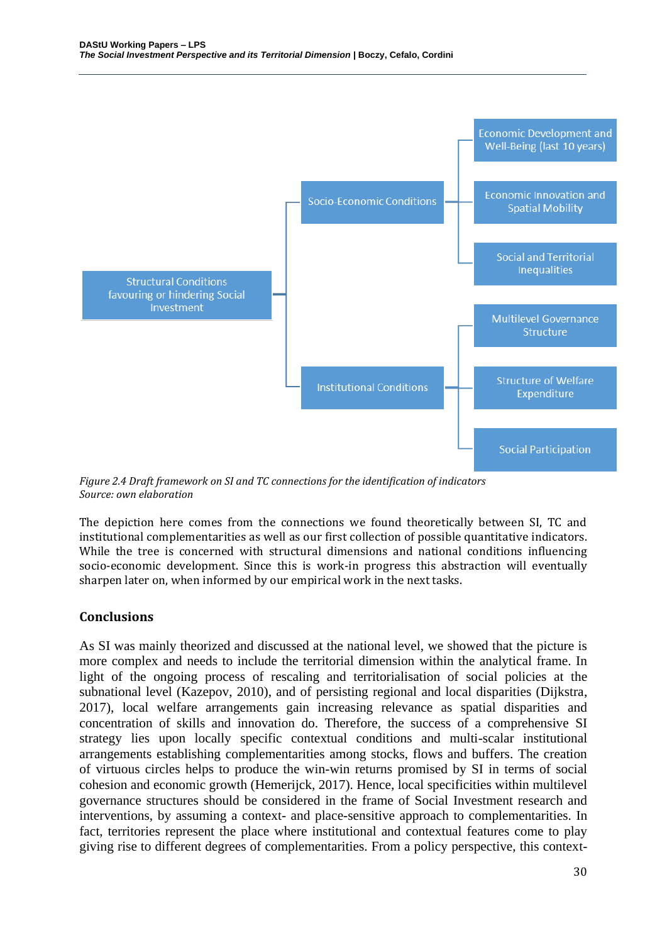

*Figure 2.4 Draft framework on SI and TC connections for the identification of indicators Source: own elaboration*

The depiction here comes from the connections we found theoretically between SI, TC and institutional complementarities as well as our first collection of possible quantitative indicators. While the tree is concerned with structural dimensions and national conditions influencing socio-economic development. Since this is work-in progress this abstraction will eventually sharpen later on, when informed by our empirical work in the next tasks.

#### **Conclusions**

As SI was mainly theorized and discussed at the national level, we showed that the picture is more complex and needs to include the territorial dimension within the analytical frame. In light of the ongoing process of rescaling and territorialisation of social policies at the subnational level (Kazepov, 2010), and of persisting regional and local disparities (Dijkstra, 2017), local welfare arrangements gain increasing relevance as spatial disparities and concentration of skills and innovation do. Therefore, the success of a comprehensive SI strategy lies upon locally specific contextual conditions and multi-scalar institutional arrangements establishing complementarities among stocks, flows and buffers. The creation of virtuous circles helps to produce the win-win returns promised by SI in terms of social cohesion and economic growth (Hemerijck, 2017). Hence, local specificities within multilevel governance structures should be considered in the frame of Social Investment research and interventions, by assuming a context- and place-sensitive approach to complementarities. In fact, territories represent the place where institutional and contextual features come to play giving rise to different degrees of complementarities. From a policy perspective, this context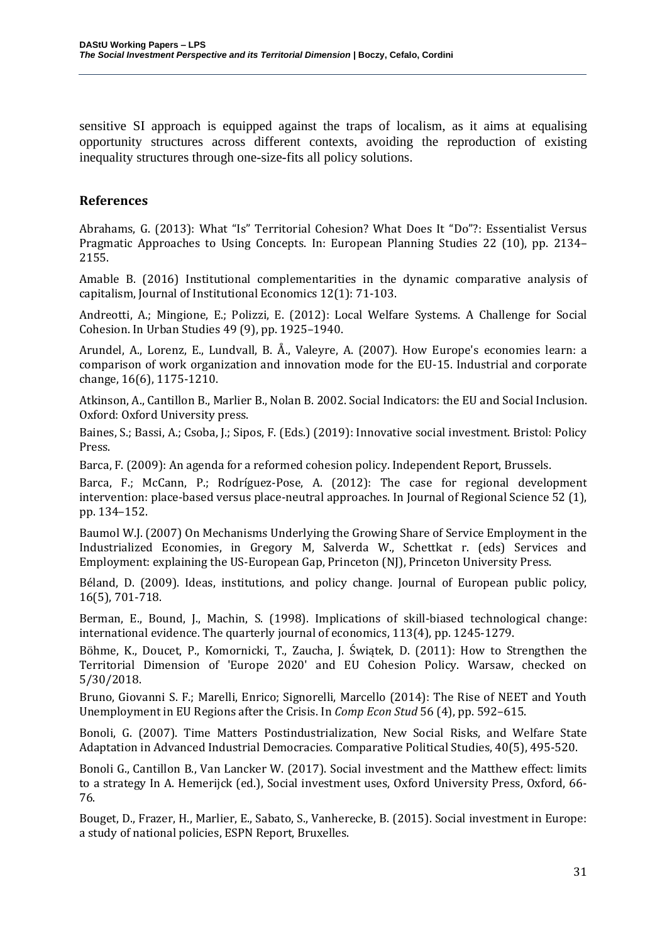sensitive SI approach is equipped against the traps of localism, as it aims at equalising opportunity structures across different contexts, avoiding the reproduction of existing inequality structures through one-size-fits all policy solutions.

### **References**

Abrahams, G. (2013): What "Is" Territorial Cohesion? What Does It "Do"?: Essentialist Versus Pragmatic Approaches to Using Concepts. In: European Planning Studies 22 (10), pp. 2134– 2155.

Amable B. (2016) Institutional complementarities in the dynamic comparative analysis of capitalism, Journal of Institutional Economics 12(1): 71-103.

Andreotti, A.; Mingione, E.; Polizzi, E. (2012): Local Welfare Systems. A Challenge for Social Cohesion. In Urban Studies 49 (9), pp. 1925–1940.

Arundel, A., Lorenz, E., Lundvall, B. Å., Valeyre, A. (2007). How Europe's economies learn: a comparison of work organization and innovation mode for the EU-15. Industrial and corporate change, 16(6), 1175-1210.

Atkinson, A., Cantillon B., Marlier B., Nolan B. 2002. Social Indicators: the EU and Social Inclusion. Oxford: Oxford University press.

Baines, S.; Bassi, A.; Csoba, J.; Sipos, F. (Eds.) (2019): Innovative social investment. Bristol: Policy Press.

Barca, F. (2009): An agenda for a reformed cohesion policy. Independent Report, Brussels.

Barca, F.; McCann, P.; Rodríguez-Pose, A. (2012): The case for regional development intervention: place-based versus place-neutral approaches. In Journal of Regional Science 52 (1), pp. 134–152.

Baumol W.J. (2007) On Mechanisms Underlying the Growing Share of Service Employment in the Industrialized Economies, in Gregory M, Salverda W., Schettkat r. (eds) Services and Employment: explaining the US-European Gap, Princeton (NJ), Princeton University Press.

Béland, D. (2009). Ideas, institutions, and policy change. Journal of European public policy, 16(5), 701-718.

Berman, E., Bound, J., Machin, S. (1998). Implications of skill-biased technological change: international evidence. The quarterly journal of economics, 113(4), pp. 1245-1279.

Böhme, K., Doucet, P., Komornicki, T., Zaucha, J. Świątek, D. (2011): How to Strengthen the Territorial Dimension of 'Europe 2020' and EU Cohesion Policy. Warsaw, checked on 5/30/2018.

Bruno, Giovanni S. F.; Marelli, Enrico; Signorelli, Marcello (2014): The Rise of NEET and Youth Unemployment in EU Regions after the Crisis. In *Comp Econ Stud* 56 (4), pp. 592–615.

Bonoli, G. (2007). Time Matters Postindustrialization, New Social Risks, and Welfare State Adaptation in Advanced Industrial Democracies. Comparative Political Studies, 40(5), 495-520.

Bonoli G., Cantillon B., Van Lancker W. (2017). Social investment and the Matthew effect: limits to a strategy In A. Hemerijck (ed.), Social investment uses, Oxford University Press, Oxford, 66- 76.

Bouget, D., Frazer, H., Marlier, E., Sabato, S., Vanherecke, B. (2015). Social investment in Europe: a study of national policies, ESPN Report, Bruxelles.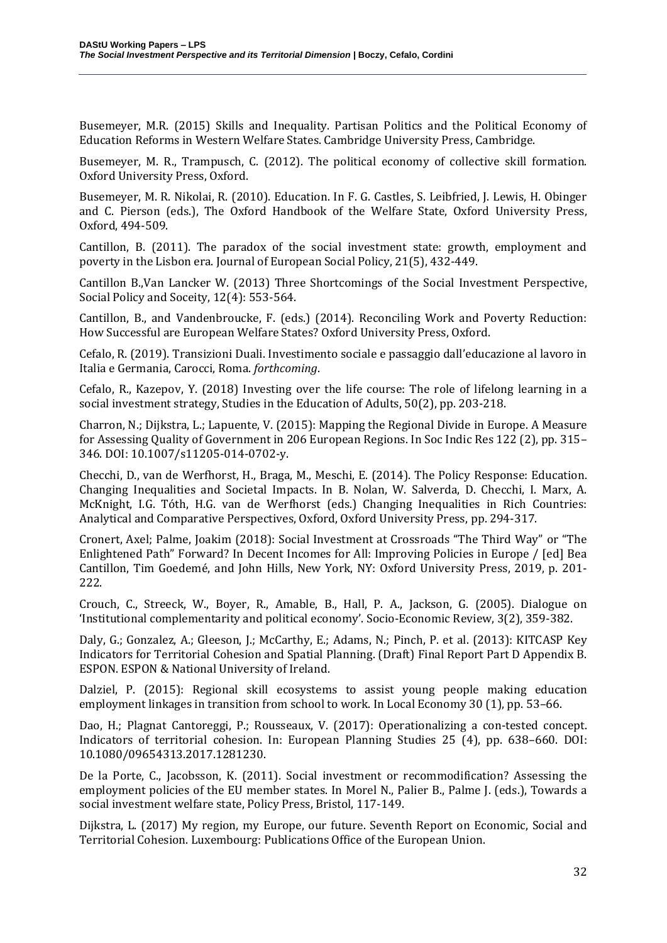Busemeyer, M.R. (2015) Skills and Inequality. Partisan Politics and the Political Economy of Education Reforms in Western Welfare States. Cambridge University Press, Cambridge.

Busemeyer, M. R., Trampusch, C. (2012). The political economy of collective skill formation. Oxford University Press, Oxford.

Busemeyer, M. R. Nikolai, R. (2010). Education. In F. G. Castles, S. Leibfried, J. Lewis, H. Obinger and C. Pierson (eds.), The Oxford Handbook of the Welfare State, Oxford University Press, Oxford, 494-509.

Cantillon, B. (2011). The paradox of the social investment state: growth, employment and poverty in the Lisbon era. Journal of European Social Policy, 21(5), 432-449.

Cantillon B.,Van Lancker W. (2013) Three Shortcomings of the Social Investment Perspective, Social Policy and Soceity, 12(4): 553-564.

Cantillon, B., and Vandenbroucke, F. (eds.) (2014). Reconciling Work and Poverty Reduction: How Successful are European Welfare States? Oxford University Press, Oxford.

Cefalo, R. (2019). Transizioni Duali. Investimento sociale e passaggio dall'educazione al lavoro in Italia e Germania, Carocci, Roma. *forthcoming*.

Cefalo, R., Kazepov, Y. (2018) Investing over the life course: The role of lifelong learning in a social investment strategy, Studies in the Education of Adults, 50(2), pp. 203-218.

Charron, N.; Dijkstra, L.; Lapuente, V. (2015): Mapping the Regional Divide in Europe. A Measure for Assessing Quality of Government in 206 European Regions. In Soc Indic Res 122 (2), pp. 315– 346. DOI: 10.1007/s11205-014-0702-y.

Checchi, D., van de Werfhorst, H., Braga, M., Meschi, E. (2014). The Policy Response: Education. Changing Inequalities and Societal Impacts. In B. Nolan, W. Salverda, D. Checchi, I. Marx, A. McKnight, I.G. Tóth, H.G. van de Werfhorst (eds.) Changing Inequalities in Rich Countries: Analytical and Comparative Perspectives, Oxford, Oxford University Press, pp. 294-317.

Cronert, Axel; Palme, Joakim (2018): Social Investment at Crossroads "The Third Way" or "The Enlightened Path" Forward? In Decent Incomes for All: Improving Policies in Europe / [ed] Bea Cantillon, Tim Goedemé, and John Hills, New York, NY: Oxford University Press, 2019, p. 201- 222.

Crouch, C., Streeck, W., Boyer, R., Amable, B., Hall, P. A., Jackson, G. (2005). Dialogue on 'Institutional complementarity and political economy'. Socio-Economic Review, 3(2), 359-382.

Daly, G.; Gonzalez, A.; Gleeson, J.; McCarthy, E.; Adams, N.; Pinch, P. et al. (2013): KITCASP Key Indicators for Territorial Cohesion and Spatial Planning. (Draft) Final Report Part D Appendix B. ESPON. ESPON & National University of Ireland.

Dalziel, P. (2015): Regional skill ecosystems to assist young people making education employment linkages in transition from school to work. In Local Economy 30 (1), pp. 53–66.

Dao, H.; Plagnat Cantoreggi, P.; Rousseaux, V. (2017): Operationalizing a con-tested concept. Indicators of territorial cohesion. In: European Planning Studies 25 (4), pp. 638–660. DOI: 10.1080/09654313.2017.1281230.

De la Porte, C., Jacobsson, K. (2011). Social investment or recommodification? Assessing the employment policies of the EU member states. In Morel N., Palier B., Palme J. (eds.), Towards a social investment welfare state, Policy Press, Bristol, 117-149.

Dijkstra, L. (2017) My region, my Europe, our future. Seventh Report on Economic, Social and Territorial Cohesion. Luxembourg: Publications Office of the European Union.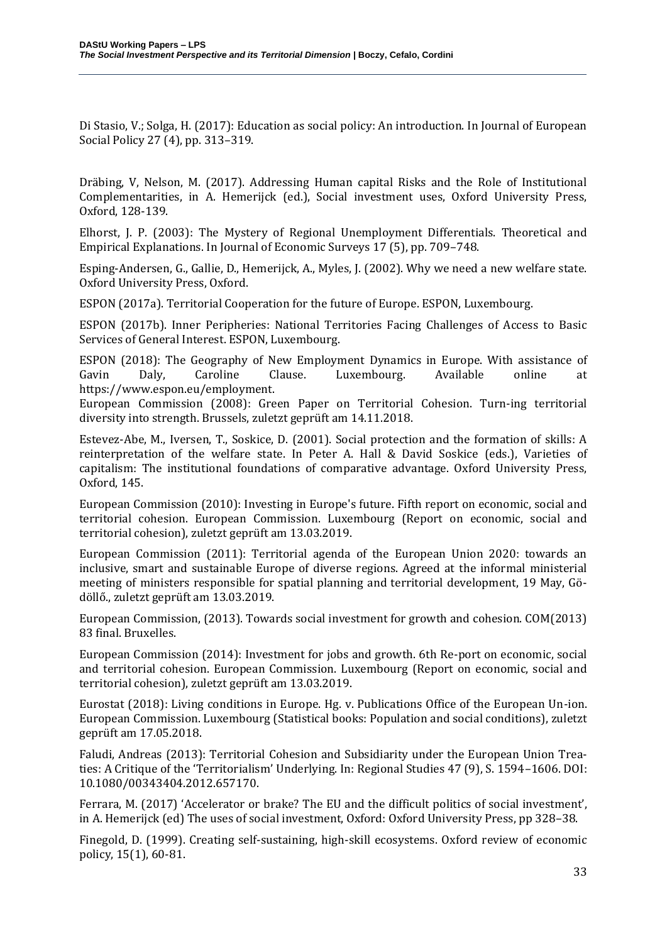Di Stasio, V.; Solga, H. (2017): Education as social policy: An introduction. In Journal of European Social Policy 27 (4), pp. 313–319.

Dräbing, V, Nelson, M. (2017). Addressing Human capital Risks and the Role of Institutional Complementarities, in A. Hemerijck (ed.), Social investment uses, Oxford University Press, Oxford, 128-139.

Elhorst, J. P. (2003): The Mystery of Regional Unemployment Differentials. Theoretical and Empirical Explanations. In Journal of Economic Surveys 17 (5), pp. 709–748.

Esping-Andersen, G., Gallie, D., Hemerijck, A., Myles, J. (2002). Why we need a new welfare state. Oxford University Press, Oxford.

ESPON (2017a). Territorial Cooperation for the future of Europe. ESPON, Luxembourg.

ESPON (2017b). Inner Peripheries: National Territories Facing Challenges of Access to Basic Services of General Interest. ESPON, Luxembourg.

ESPON (2018): The Geography of New Employment Dynamics in Europe. With assistance of Gavin Daly, Caroline Clause. Luxembourg. Available online at https://www.espon.eu/employment.

European Commission (2008): Green Paper on Territorial Cohesion. Turn-ing territorial diversity into strength. Brussels, zuletzt geprüft am 14.11.2018.

Estevez-Abe, M., Iversen, T., Soskice, D. (2001). Social protection and the formation of skills: A reinterpretation of the welfare state. In Peter A. Hall & David Soskice (eds.), Varieties of capitalism: The institutional foundations of comparative advantage. Oxford University Press, Oxford, 145.

European Commission (2010): Investing in Europe's future. Fifth report on economic, social and territorial cohesion. European Commission. Luxembourg (Report on economic, social and territorial cohesion), zuletzt geprüft am 13.03.2019.

European Commission (2011): Territorial agenda of the European Union 2020: towards an inclusive, smart and sustainable Europe of diverse regions. Agreed at the informal ministerial meeting of ministers responsible for spatial planning and territorial development, 19 May, Gödöllő., zuletzt geprüft am 13.03.2019.

European Commission, (2013). Towards social investment for growth and cohesion. COM(2013) 83 final. Bruxelles.

European Commission (2014): Investment for jobs and growth. 6th Re-port on economic, social and territorial cohesion. European Commission. Luxembourg (Report on economic, social and territorial cohesion), zuletzt geprüft am 13.03.2019.

Eurostat (2018): Living conditions in Europe. Hg. v. Publications Office of the European Un-ion. European Commission. Luxembourg (Statistical books: Population and social conditions), zuletzt geprüft am 17.05.2018.

Faludi, Andreas (2013): Territorial Cohesion and Subsidiarity under the European Union Treaties: A Critique of the 'Territorialism' Underlying. In: Regional Studies 47 (9), S. 1594–1606. DOI: 10.1080/00343404.2012.657170.

Ferrara, M. (2017) 'Accelerator or brake? The EU and the difficult politics of social investment', in A. Hemerijck (ed) The uses of social investment, Oxford: Oxford University Press, pp 328–38.

Finegold, D. (1999). Creating self-sustaining, high-skill ecosystems. Oxford review of economic policy, 15(1), 60-81.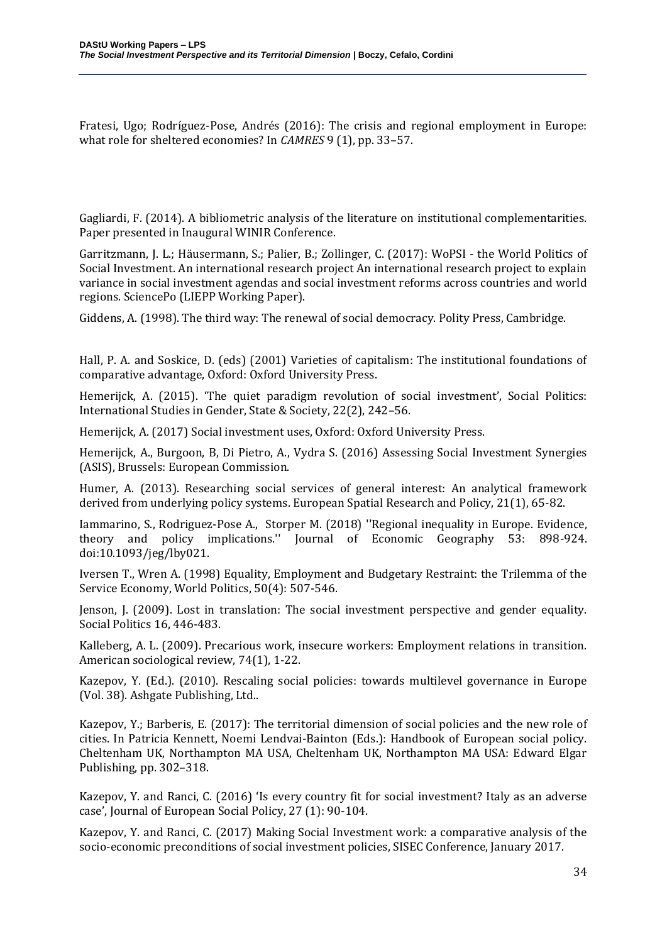Fratesi, Ugo; Rodríguez-Pose, Andrés (2016): The crisis and regional employment in Europe: what role for sheltered economies? In *CAMRES* 9 (1), pp. 33–57.

Gagliardi, F. (2014). A bibliometric analysis of the literature on institutional complementarities. Paper presented in Inaugural WINIR Conference.

Garritzmann, J. L.; Häusermann, S.; Palier, B.; Zollinger, C. (2017): WoPSI - the World Politics of Social Investment. An international research project An international research project to explain variance in social investment agendas and social investment reforms across countries and world regions. SciencePo (LIEPP Working Paper).

Giddens, A. (1998). The third way: The renewal of social democracy. Polity Press, Cambridge.

Hall, P. A. and Soskice, D. (eds) (2001) Varieties of capitalism: The institutional foundations of comparative advantage, Oxford: Oxford University Press.

Hemerijck, A. (2015). 'The quiet paradigm revolution of social investment', Social Politics: International Studies in Gender, State & Society, 22(2), 242–56.

Hemerijck, A. (2017) Social investment uses, Oxford: Oxford University Press.

Hemerijck, A., Burgoon, B, Di Pietro, A., Vydra S. (2016) Assessing Social Investment Synergies (ASIS), Brussels: European Commission.

Humer, A. (2013). Researching social services of general interest: An analytical framework derived from underlying policy systems. European Spatial Research and Policy, 21(1), 65-82.

Iammarino, S., Rodriguez-Pose A., Storper M. (2018) ''Regional inequality in Europe. Evidence, theory and policy implications.'' Journal of Economic Geography 53: 898-924. doi:10.1093/jeg/lby021.

Iversen T., Wren A. (1998) Equality, Employment and Budgetary Restraint: the Trilemma of the Service Economy, World Politics, 50(4): 507-546.

Jenson, J. (2009). Lost in translation: The social investment perspective and gender equality. Social Politics 16, 446-483.

Kalleberg, A. L. (2009). Precarious work, insecure workers: Employment relations in transition. American sociological review, 74(1), 1-22.

Kazepov, Y. (Ed.). (2010). Rescaling social policies: towards multilevel governance in Europe (Vol. 38). Ashgate Publishing, Ltd..

Kazepov, Y.; Barberis, E. (2017): The territorial dimension of social policies and the new role of cities. In Patricia Kennett, Noemi Lendvai-Bainton (Eds.): Handbook of European social policy. Cheltenham UK, Northampton MA USA, Cheltenham UK, Northampton MA USA: Edward Elgar Publishing, pp. 302–318.

Kazepov, Y. and Ranci, C. (2016) 'Is every country fit for social investment? Italy as an adverse case', Journal of European Social Policy, 27 (1): 90-104.

Kazepov, Y. and Ranci, C. (2017) Making Social Investment work: a comparative analysis of the socio-economic preconditions of social investment policies, SISEC Conference, January 2017.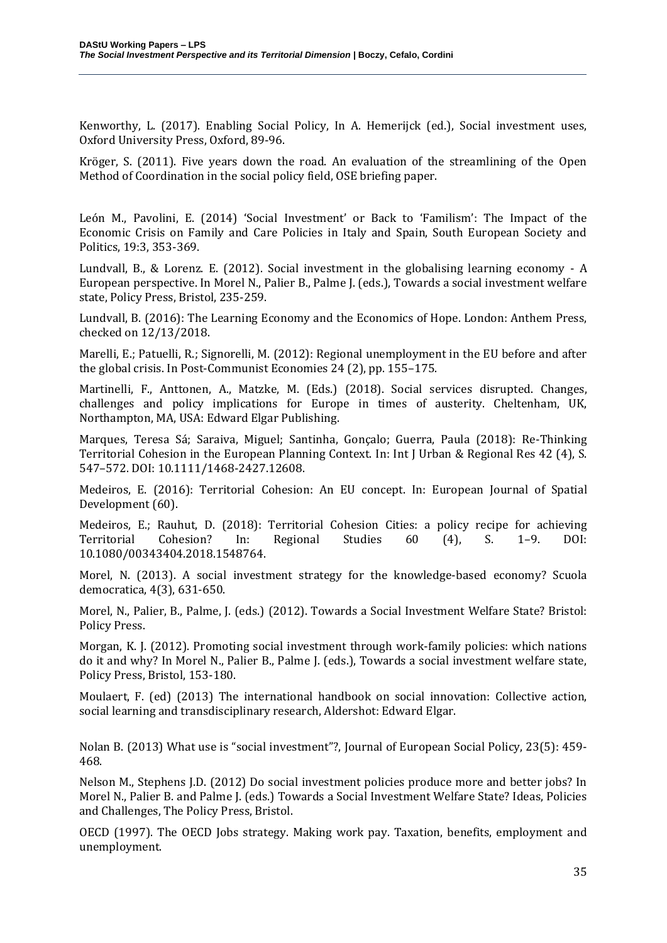Kenworthy, L. (2017). Enabling Social Policy, In A. Hemerijck (ed.), Social investment uses, Oxford University Press, Oxford, 89-96.

Kröger, S. (2011). Five years down the road. An evaluation of the streamlining of the Open Method of Coordination in the social policy field, OSE briefing paper.

León M., Pavolini, E. (2014) 'Social Investment' or Back to 'Familism': The Impact of the Economic Crisis on Family and Care Policies in Italy and Spain, South European Society and Politics, 19:3, 353-369.

Lundvall, B., & Lorenz. E. (2012). Social investment in the globalising learning economy - A European perspective. In Morel N., Palier B., Palme J. (eds.), Towards a social investment welfare state, Policy Press, Bristol, 235-259.

Lundvall, B. (2016): The Learning Economy and the Economics of Hope. London: Anthem Press, checked on 12/13/2018.

Marelli, E.; Patuelli, R.; Signorelli, M. (2012): Regional unemployment in the EU before and after the global crisis. In Post-Communist Economies 24 (2), pp. 155–175.

Martinelli, F., Anttonen, A., Matzke, M. (Eds.) (2018). Social services disrupted. Changes, challenges and policy implications for Europe in times of austerity. Cheltenham, UK, Northampton, MA, USA: Edward Elgar Publishing.

Marques, Teresa Sá; Saraiva, Miguel; Santinha, Gonçalo; Guerra, Paula (2018): Re‐Thinking Territorial Cohesion in the European Planning Context. In: Int J Urban & Regional Res 42 (4), S. 547–572. DOI: 10.1111/1468-2427.12608.

Medeiros, E. (2016): Territorial Cohesion: An EU concept. In: European Journal of Spatial Development (60).

Medeiros, E.; Rauhut, D. (2018): Territorial Cohesion Cities: a policy recipe for achieving Territorial Cohesion? In: Regional Studies 60 (4), S. 1–9. DOI: 10.1080/00343404.2018.1548764.

Morel, N. (2013). A social investment strategy for the knowledge-based economy? Scuola democratica, 4(3), 631-650.

Morel, N., Palier, B., Palme, J. (eds.) (2012). Towards a Social Investment Welfare State? Bristol: Policy Press.

Morgan, K. J. (2012). Promoting social investment through work-family policies: which nations do it and why? In Morel N., Palier B., Palme J. (eds.), Towards a social investment welfare state, Policy Press, Bristol, 153-180.

Moulaert, F. (ed) (2013) The international handbook on social innovation: Collective action, social learning and transdisciplinary research, Aldershot: Edward Elgar.

Nolan B. (2013) What use is "social investment"?, Journal of European Social Policy, 23(5): 459- 468.

Nelson M., Stephens J.D. (2012) Do social investment policies produce more and better jobs? In Morel N., Palier B. and Palme J. (eds.) Towards a Social Investment Welfare State? Ideas, Policies and Challenges, The Policy Press, Bristol.

OECD (1997). The OECD Jobs strategy. Making work pay. Taxation, benefits, employment and unemployment.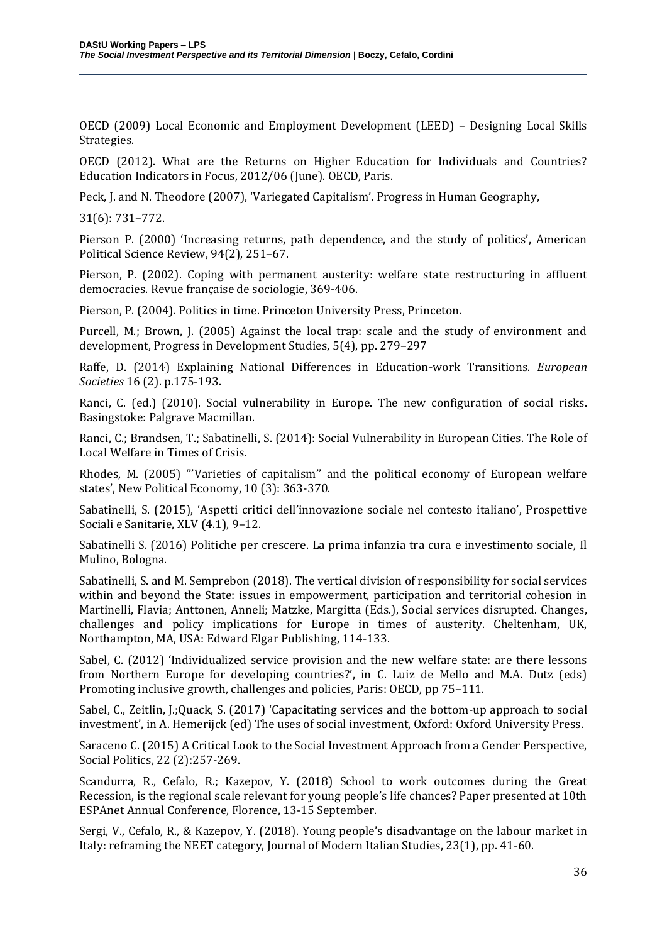OECD (2009) Local Economic and Employment Development (LEED) – Designing Local Skills Strategies.

OECD (2012). What are the Returns on Higher Education for Individuals and Countries? Education Indicators in Focus, 2012/06 (June). OECD, Paris.

Peck, J. and N. Theodore (2007), 'Variegated Capitalism'. Progress in Human Geography,

31(6): 731–772.

Pierson P. (2000) 'Increasing returns, path dependence, and the study of politics', American Political Science Review, 94(2), 251–67.

Pierson, P. (2002). Coping with permanent austerity: welfare state restructuring in affluent democracies. Revue française de sociologie, 369-406.

Pierson, P. (2004). Politics in time. Princeton University Press, Princeton.

Purcell, M.; Brown, J. (2005) Against the local trap: scale and the study of environment and development, Progress in Development Studies, 5(4), pp. 279–297

Raffe, D. (2014) Explaining National Differences in Education-work Transitions. *European Societies* 16 (2). p.175-193.

Ranci, C. (ed.) (2010). Social vulnerability in Europe. The new configuration of social risks. Basingstoke: Palgrave Macmillan.

Ranci, C.; Brandsen, T.; Sabatinelli, S. (2014): Social Vulnerability in European Cities. The Role of Local Welfare in Times of Crisis.

Rhodes, M. (2005) '''Varieties of capitalism'' and the political economy of European welfare states', New Political Economy, 10 (3): 363-370.

Sabatinelli, S. (2015), 'Aspetti critici dell'innovazione sociale nel contesto italiano', Prospettive Sociali e Sanitarie, XLV (4.1), 9–12.

Sabatinelli S. (2016) Politiche per crescere. La prima infanzia tra cura e investimento sociale, Il Mulino, Bologna.

Sabatinelli, S. and M. Semprebon (2018). The vertical division of responsibility for social services within and beyond the State: issues in empowerment, participation and territorial cohesion in Martinelli, Flavia; Anttonen, Anneli; Matzke, Margitta (Eds.), Social services disrupted. Changes, challenges and policy implications for Europe in times of austerity. Cheltenham, UK, Northampton, MA, USA: Edward Elgar Publishing, 114-133.

Sabel, C. (2012) 'Individualized service provision and the new welfare state: are there lessons from Northern Europe for developing countries?', in C. Luiz de Mello and M.A. Dutz (eds) Promoting inclusive growth, challenges and policies, Paris: OECD, pp 75–111.

Sabel, C., Zeitlin, J.;Quack, S. (2017) 'Capacitating services and the bottom-up approach to social investment', in A. Hemerijck (ed) The uses of social investment, Oxford: Oxford University Press.

Saraceno C. (2015) A Critical Look to the Social Investment Approach from a Gender Perspective, Social Politics, 22 (2):257-269.

Scandurra, R., Cefalo, R.; Kazepov, Y. (2018) School to work outcomes during the Great Recession, is the regional scale relevant for young people's life chances? Paper presented at 10th ESPAnet Annual Conference, Florence, 13-15 September.

Sergi, V., Cefalo, R., & Kazepov, Y. (2018). Young people's disadvantage on the labour market in Italy: reframing the NEET category, Journal of Modern Italian Studies, 23(1), pp. 41-60.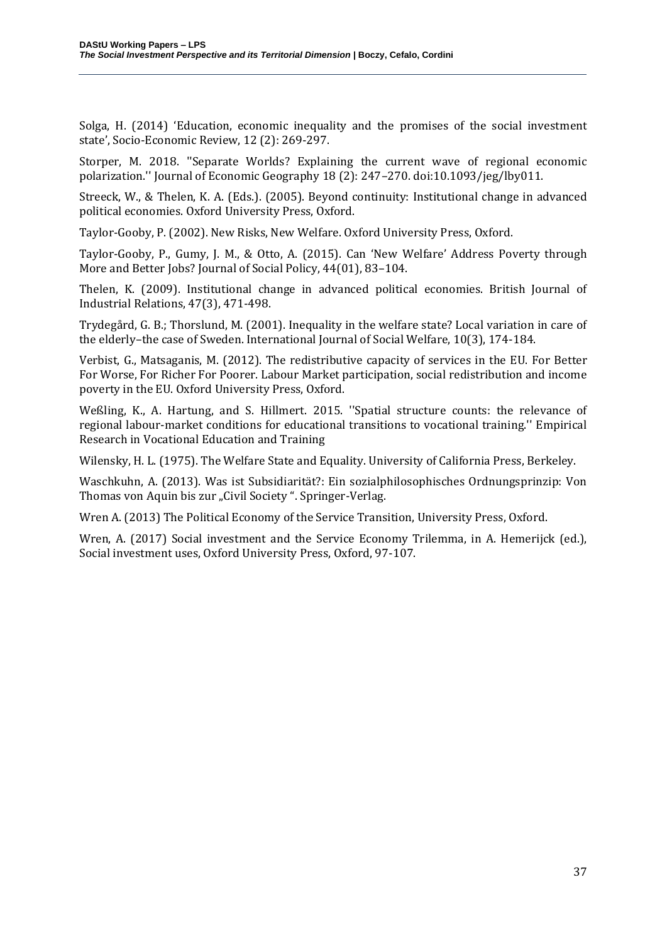Solga, H. (2014) 'Education, economic inequality and the promises of the social investment state', Socio-Economic Review, 12 (2): 269-297.

Storper, M. 2018. ''Separate Worlds? Explaining the current wave of regional economic polarization.'' Journal of Economic Geography 18 (2): 247–270. doi:10.1093/jeg/lby011.

Streeck, W., & Thelen, K. A. (Eds.). (2005). Beyond continuity: Institutional change in advanced political economies. Oxford University Press, Oxford.

Taylor-Gooby, P. (2002). New Risks, New Welfare. Oxford University Press, Oxford.

Taylor-Gooby, P., Gumy, J. M., & Otto, A. (2015). Can 'New Welfare' Address Poverty through More and Better Jobs? Journal of Social Policy, 44(01), 83–104.

Thelen, K. (2009). Institutional change in advanced political economies. British Journal of Industrial Relations, 47(3), 471-498.

Trydegård, G. B.; Thorslund, M. (2001). Inequality in the welfare state? Local variation in care of the elderly–the case of Sweden. International Journal of Social Welfare, 10(3), 174-184.

Verbist, G., Matsaganis, M. (2012). The redistributive capacity of services in the EU. For Better For Worse, For Richer For Poorer. Labour Market participation, social redistribution and income poverty in the EU. Oxford University Press, Oxford.

Weßling, K., A. Hartung, and S. Hillmert. 2015. ''Spatial structure counts: the relevance of regional labour-market conditions for educational transitions to vocational training.'' Empirical Research in Vocational Education and Training

Wilensky, H. L. (1975). The Welfare State and Equality. University of California Press, Berkeley.

Waschkuhn, A. (2013). Was ist Subsidiarität?: Ein sozialphilosophisches Ordnungsprinzip: Von Thomas von Aquin bis zur "Civil Society". Springer-Verlag.

Wren A. (2013) The Political Economy of the Service Transition, University Press, Oxford.

Wren, A. (2017) Social investment and the Service Economy Trilemma, in A. Hemerijck (ed.), Social investment uses, Oxford University Press, Oxford, 97-107.